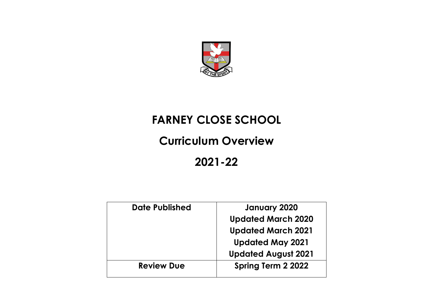

## **FARNEY CLOSE SCHOOL**

## **Curriculum Overview**

**2021-22**

| Date Published    | January 2020               |
|-------------------|----------------------------|
|                   | <b>Updated March 2020</b>  |
|                   | <b>Updated March 2021</b>  |
|                   | <b>Updated May 2021</b>    |
|                   | <b>Updated August 2021</b> |
| <b>Review Due</b> | Spring Term 2 2022         |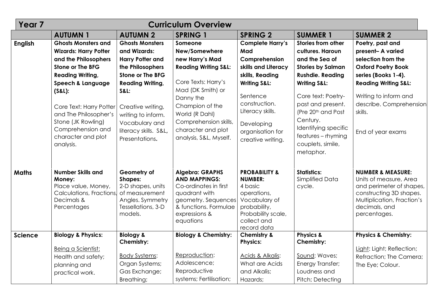| Year <sub>7</sub> | <b>Curriculum Overview</b>                                                                                                                                                                                                                                                                                |                                                                                                                                                                                                                                                                        |                                                                                                                                                                                                                                                       |                                                                                                                                                                                                                              |                                                                                                                                                                                                                                                                                                                     |                                                                                                                                                                                                                                        |  |
|-------------------|-----------------------------------------------------------------------------------------------------------------------------------------------------------------------------------------------------------------------------------------------------------------------------------------------------------|------------------------------------------------------------------------------------------------------------------------------------------------------------------------------------------------------------------------------------------------------------------------|-------------------------------------------------------------------------------------------------------------------------------------------------------------------------------------------------------------------------------------------------------|------------------------------------------------------------------------------------------------------------------------------------------------------------------------------------------------------------------------------|---------------------------------------------------------------------------------------------------------------------------------------------------------------------------------------------------------------------------------------------------------------------------------------------------------------------|----------------------------------------------------------------------------------------------------------------------------------------------------------------------------------------------------------------------------------------|--|
|                   | <b>AUTUMN 1</b>                                                                                                                                                                                                                                                                                           | <b>AUTUMN 2</b>                                                                                                                                                                                                                                                        | <b>SPRING 1</b>                                                                                                                                                                                                                                       | <b>SPRING 2</b>                                                                                                                                                                                                              | <b>SUMMER 1</b>                                                                                                                                                                                                                                                                                                     | <b>SUMMER 2</b>                                                                                                                                                                                                                        |  |
| <b>English</b>    | <b>Ghosts Monsters and</b><br><b>Wizards: Harry Potter</b><br>and the Philosophers<br><b>Stone or The BFG</b><br><b>Reading Writing,</b><br>Speech & Language<br>(S&L):<br>Core Text: Harry Potter<br>and The Philosopher's<br>Stone (JK Rowling)<br>Comprehension and<br>character and plot<br>analysis. | <b>Ghosts Monsters</b><br>and Wizards:<br><b>Harry Potter and</b><br>the Philosophers<br><b>Stone or The BFG</b><br><b>Reading Writing,</b><br><b>S&amp;L:</b><br>Creative writing,<br>writing to inform.<br>Vocabulary and<br>literacy skills. S&L,<br>Presentations. | Someone<br>New/Somewhere<br>new Harry's Mad<br><b>Reading Writing S&amp;L:</b><br>Core Texts: Harry's<br>Mad (DK Smith) or<br>Danny the<br>Champion of the<br>World (R Dahl)<br>Comprehension skills,<br>character and plot<br>analysis, S&L, Myself. | <b>Complete Harry's</b><br>Mad<br>Comprehension<br>skills and Literacy<br>skills, Reading<br><b>Writing S&amp;L:</b><br>Sentence<br>construction.<br>Literacy skills.<br>Developing<br>organisation for<br>creative writing. | Stories from other<br>cultures. Haroun<br>and the Sea of<br><b>Stories by Salman</b><br><b>Rushdie. Reading</b><br><b>Writing S&amp;L:</b><br>Core text: Poetry-<br>past and present.<br>(Pre 20 <sup>th</sup> and Post<br>Century.<br>Identifying specific<br>features - rhyming<br>couplets, simile,<br>metaphor. | Poetry, past and<br>present- A varied<br>selection from the<br><b>Oxford Poetry Book</b><br>series (Books 1-4).<br><b>Reading Writing S&amp;L:</b><br>Writing to inform and<br>describe. Comprehension<br>skills.<br>End of year exams |  |
| <b>Maths</b>      | <b>Number Skills and</b><br>Money:<br>Place value, Money,<br>Calculations, Fractions,<br>Decimals &<br>Percentages                                                                                                                                                                                        | Geometry of<br><b>Shapes:</b><br>2-D shapes, units<br>of measurement<br>Angles. Symmetry<br>Tessellations, 3-D<br>models.                                                                                                                                              | <b>Algebra: GRAPHS</b><br><b>AND MAPPINGS:</b><br>Co-ordinates in first<br>quadrant with<br>geometry. Sequences<br>& functions. Formulae<br>expressions &<br>equations                                                                                | <b>PROBABILITY &amp;</b><br><b>NUMBER:</b><br>4 basic<br>operations,<br>Vocabulary of<br>probability,<br>Probability scale,<br>collect and<br>record data                                                                    | <b>Statistics:</b><br><b>Simplified Data</b><br>cycle.                                                                                                                                                                                                                                                              | <b>NUMBER &amp; MEASURE:</b><br>Units of measure, Area<br>and perimeter of shapes,<br>constructing 3D shapes.<br>Multiplication, Fraction's<br>decimals, and<br>percentages.                                                           |  |
| <b>Science</b>    | <b>Biology &amp; Physics:</b><br>Being a Scientist:<br>Health and safety;<br>planning and<br>practical work.                                                                                                                                                                                              | <b>Biology &amp;</b><br><b>Chemistry:</b><br><b>Body Systems:</b><br>Organ Systems;<br>Gas Exchange;<br>Breathing;                                                                                                                                                     | <b>Biology &amp; Chemistry:</b><br>Reproduction:<br>Adolescence;<br>Reproductive<br>systems; Fertilisation;                                                                                                                                           | <b>Chemistry &amp;</b><br><b>Physics:</b><br>Acids & Alkalis:<br>What are Acids<br>and Alkalis;<br>Hazards;                                                                                                                  | <b>Physics &amp;</b><br>Chemistry:<br>Sound: Waves;<br>Energy Transfer;<br>Loudness and<br>Pitch; Detecting                                                                                                                                                                                                         | <b>Physics &amp; Chemistry:</b><br>Light: Light; Reflection;<br>Refraction; The Camera;<br>The Eye; Colour.                                                                                                                            |  |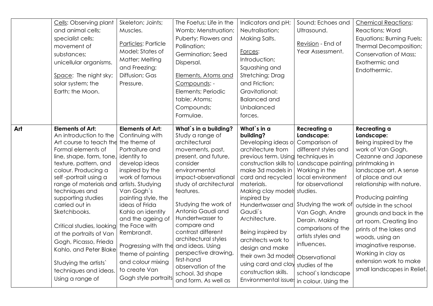|     | Cells: Observing plant<br>and animal cells;<br>specialist cells;<br>movement of<br>substances;<br>unicellular organisms.<br>Space: The night sky;<br>solar system; the<br>Earth; the Moon.                                                                                                                                                                                                                                                                                                                | Skeleton; Joints;<br>Muscles.<br>Particles: Particle<br>Model; States of<br>Matter; Melting<br>and Freezing;<br>Diffusion; Gas<br>Pressure.                                                                                                                                                                                                                                                                         | The Foetus; Life in the<br>Womb; Menstruation;<br>Puberty; Flowers and<br>Pollination;<br>Germination; Seed<br>Dispersal.<br>Elements, Atoms and<br>Compounds: -<br>Elements; Periodic<br>table; Atoms;<br>Compounds;<br>Formulae.                                                                                                                                                                                                       | Indicators and pH;<br>Neutralisation;<br>Making Salts.<br>Forces:<br>Introduction;<br>Squashing and<br>Stretching; Drag<br>and Friction;<br>Gravitational;<br><b>Balanced and</b><br>Unbalanced<br>forces.                                                                                                                                                                                                                                | Sound; Echoes and<br>Ultrasound.<br>Revision - End of<br>Year Assessment.                                                                                                                                                                                                                                                                                                       | <b>Chemical Reactions:</b><br>Reactions; Word<br>Equations; Burning Fuels;<br>Thermal Decomposition;<br><b>Conservation of Mass;</b><br>Exothermic and<br>Endothermic.                                                                                                                                                                                                                                                                                   |
|-----|-----------------------------------------------------------------------------------------------------------------------------------------------------------------------------------------------------------------------------------------------------------------------------------------------------------------------------------------------------------------------------------------------------------------------------------------------------------------------------------------------------------|---------------------------------------------------------------------------------------------------------------------------------------------------------------------------------------------------------------------------------------------------------------------------------------------------------------------------------------------------------------------------------------------------------------------|------------------------------------------------------------------------------------------------------------------------------------------------------------------------------------------------------------------------------------------------------------------------------------------------------------------------------------------------------------------------------------------------------------------------------------------|-------------------------------------------------------------------------------------------------------------------------------------------------------------------------------------------------------------------------------------------------------------------------------------------------------------------------------------------------------------------------------------------------------------------------------------------|---------------------------------------------------------------------------------------------------------------------------------------------------------------------------------------------------------------------------------------------------------------------------------------------------------------------------------------------------------------------------------|----------------------------------------------------------------------------------------------------------------------------------------------------------------------------------------------------------------------------------------------------------------------------------------------------------------------------------------------------------------------------------------------------------------------------------------------------------|
| Art | <b>Elements of Art:</b><br>An introduction to the<br>Art course to teach the the theme of<br>Formal elements of<br>line, shape, form, tone,<br>texture, pattern, and<br>colour. Producing a<br>self-portrait using a<br>range of materials and<br>techniques and<br>supporting studies<br>carried out in<br>Sketchbooks.<br>Critical studies, looking<br>at the portraits of Van<br>Gogh, Picasso, Frieda<br>Kahlo, and Peter Blake<br>Studying the artists'<br>techniques and ideas.<br>Using a range of | <b>Elements of Art:</b><br>Continuing with<br>Portraiture and<br>identity to<br>develop ideas<br>inspired by the<br>work of famous<br>artists. Studying<br>Van Gogh's<br>painting style, the<br>ideas of Frida<br>Kahlo on identity<br>and the ageing of<br>the Face with<br>Rembrandt.<br>Progressing with the and ideas. Using<br>theme of painting<br>and colour mixing<br>to create Van<br>Gogh style portraits | What's in a building?<br>Study a range of<br>architectural<br>movements, past,<br>present, and future,<br>consider<br>environmental<br>impact-observational<br>study of architectural<br>features.<br>Studying the work of<br>Antonio Gaudi and<br>Hundertwasser to<br>compare and<br>contrast different<br>architectural styles<br>perspective drawing,<br>first-hand<br>observation of the<br>school. 3d shape<br>and form. As well as | What`s in a<br>building?<br>Developing ideas of<br>architecture from<br>previous term. Using<br>construction skills to<br>make 3d models in<br>card and recycled<br>materials.<br>Making clay models studies.<br>inspired by<br>Hundertwasser and<br>Gaudi's<br>Architecture.<br>Being inspired by<br>architects work to<br>design and make<br>their own 3d model.<br>using card and clay<br>construction skills.<br>Environmental issue: | Recreating a<br>Landscape:<br>Comparison of<br>different styles and<br>techniques in<br>Landscape painting<br>Working in the<br>local environment<br>for observational<br>Studying the work of<br>Van Gogh, Andre<br>Derain. Making<br>comparisons of the<br>artists styles and<br>influences.<br>Observational<br>studies of the<br>school's landscape<br>in colour. Using the | Recreating a<br>Landscape:<br>Being inspired by the<br>work of Van Gogh,<br>Cezanne and Japanese<br>printmaking in<br>landscape art. A sense<br>of place and our<br>relationship with nature.<br>Producing painting<br>outside in the school<br>grounds and back in the<br>art room. Creating lino<br>prints of the lakes and<br>woods, using an<br>imaginative response.<br>Working in clay as<br>extension work to make<br>small landscapes in Relief. |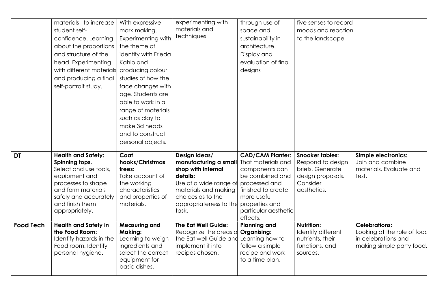|                  | materials to increase                  | With expressive                | experimenting with             | through use of                    | five senses to record                 |                                  |
|------------------|----------------------------------------|--------------------------------|--------------------------------|-----------------------------------|---------------------------------------|----------------------------------|
|                  | student self-                          | mark making.                   | materials and                  | space and                         | moods and reaction                    |                                  |
|                  | confidence. Learning                   | <b>Experimenting with</b>      | techniques                     | sustainability in                 | to the landscape                      |                                  |
|                  | about the proportions                  | the theme of                   |                                | architecture.                     |                                       |                                  |
|                  | and structure of the                   | identity with Frieda           |                                | Display and                       |                                       |                                  |
|                  | head. Experimenting                    | Kahlo and                      |                                | evaluation of final               |                                       |                                  |
|                  | with different materials               | producing colour               |                                | designs                           |                                       |                                  |
|                  | and producing a final                  | studies of how the             |                                |                                   |                                       |                                  |
|                  | self-portrait study.                   | face changes with              |                                |                                   |                                       |                                  |
|                  |                                        | age. Students are              |                                |                                   |                                       |                                  |
|                  |                                        | able to work in a              |                                |                                   |                                       |                                  |
|                  |                                        | range of materials             |                                |                                   |                                       |                                  |
|                  |                                        | such as clay to                |                                |                                   |                                       |                                  |
|                  |                                        | make 3d heads                  |                                |                                   |                                       |                                  |
|                  |                                        | and to construct               |                                |                                   |                                       |                                  |
|                  |                                        | personal objects.              |                                |                                   |                                       |                                  |
|                  |                                        |                                |                                |                                   |                                       |                                  |
|                  |                                        |                                |                                |                                   |                                       |                                  |
| <b>DT</b>        | <b>Health and Safety:</b>              | Coat                           | Design ideas/                  | <b>CAD/CAM Planter:</b>           | <b>Snooker tables:</b>                | <b>Simple electronics:</b>       |
|                  | Spinning tops.                         | hooks/Christmas                | manufacturing a small          | That materials and                | Respond to design                     | Join and combine                 |
|                  | Select and use tools,<br>equipment and | trees:<br>Take account of      | shop with internal<br>details: | components can<br>be combined and | briefs. Generate<br>design proposals. | materials. Evaluate and<br>test. |
|                  | processes to shape                     | the working                    | Use of a wide range of         | processed and                     | Consider                              |                                  |
|                  | and form materials                     | characteristics                | materials and making           | finished to create                | aesthetics.                           |                                  |
|                  | safely and accurately                  | and properties of              | choices as to the              | more useful                       |                                       |                                  |
|                  | and finish them                        | materials.                     | appropriateness to the         | properties and                    |                                       |                                  |
|                  | appropriately.                         |                                | task.                          | particular aesthetic              |                                       |                                  |
| <b>Food Tech</b> | <b>Health and Safety in</b>            | <b>Measuring and</b>           | <b>The Eat Well Guide:</b>     | effects.<br><b>Planning and</b>   | <b>Nutrition:</b>                     | <b>Celebrations:</b>             |
|                  | the Food Room:                         | <b>Making:</b>                 | Recognize the areas o          | <b>Organising:</b>                | Identify different                    | Looking at the role of food      |
|                  | Identify hazards in the                | Learning to weigh              | the Eat well Guide and         | Learning how to                   | nutrients, their                      | in celebrations and              |
|                  | Food room. Identify                    | ingredients and                | implement it into              | follow a simple                   | functions, and                        | making simple party food.        |
|                  | personal hygiene.                      | select the correct             | recipes chosen.                | recipe and work                   | sources.                              |                                  |
|                  |                                        | equipment for<br>basic dishes. |                                | to a time plan.                   |                                       |                                  |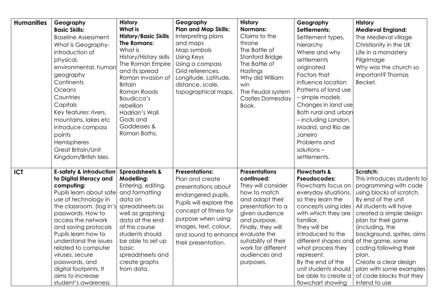| <b>Humanities</b> | Geography<br><b>Basic Skills:</b><br><b>Baseline Assessment</b><br>What is Geography-<br>introduction of<br>physical,<br>environmental, human<br>geography<br>Continents<br>Oceans<br>Countries<br>Capitals<br>Key features: rivers,<br>mountains, lakes etc<br>Introduce compass<br>points<br>Hemispheres<br>Great Britain/Unit<br>Kingdom/British Isles.                                                     | <b>History</b><br><b>What is</b><br><b>History/Basic Skills</b><br><b>The Romans:</b><br>What is<br>History/History skills<br>The Roman Empire<br>and its spread<br>Roman invasion of<br><b>Britain</b><br>Roman Roads<br>Boudicca's<br>rebellion<br>Hadrian's Wall<br>Gods and<br>Goddesses &<br>Roman Baths. | Geography<br><b>Plan and Map Skills:</b><br>Interpreting plans<br>and maps<br>Map symbols<br>Using Keys<br>Using a compass<br>Grid references,<br>Longitude, Latitude,<br>distance, scale,<br>topographical maps.                        | <b>History</b><br><b>Normans:</b><br>Claims to the<br>throne<br>The Battle of<br>Stanford Bridge<br>The Battle of<br>Hastings<br>Why did William<br>win<br>The Feudal system<br><b>Castles Domesday</b><br>Book.                                                     | Geography<br>Settlements:<br>Settlement types,<br>hierarchy<br>Where and why<br>settlements<br>originated<br>Factors that<br>influence location<br>Patterns of land use<br>- simple models<br>Changes in land use<br>Both rural and urbar<br>- including London,<br>Madrid, and Rio de<br>Janeiro<br>Problems and<br>$solutions -$<br>settlements.              | <b>History</b><br><b>Medieval England:</b><br>The Medieval village<br>Christianity in the UK<br>Life in a monastery<br>Pilgrimage<br>Why was the church so<br>important? Thomas<br>Becket.                                                                                                                                                                                                              |
|-------------------|----------------------------------------------------------------------------------------------------------------------------------------------------------------------------------------------------------------------------------------------------------------------------------------------------------------------------------------------------------------------------------------------------------------|----------------------------------------------------------------------------------------------------------------------------------------------------------------------------------------------------------------------------------------------------------------------------------------------------------------|------------------------------------------------------------------------------------------------------------------------------------------------------------------------------------------------------------------------------------------|----------------------------------------------------------------------------------------------------------------------------------------------------------------------------------------------------------------------------------------------------------------------|-----------------------------------------------------------------------------------------------------------------------------------------------------------------------------------------------------------------------------------------------------------------------------------------------------------------------------------------------------------------|---------------------------------------------------------------------------------------------------------------------------------------------------------------------------------------------------------------------------------------------------------------------------------------------------------------------------------------------------------------------------------------------------------|
| <b>ICT</b>        | <b>E-safety &amp; introduction</b><br>to Digital literacy and<br>computing:<br>Pupils learn about safe<br>use of technology in<br>the classroom. (log in's<br>passwords. How to<br>access the network<br>and saving protocols<br>Pupils learn how to<br>understand the issues<br>related to computer<br>viruses, secure<br>passwords, and<br>digital footprints. It<br>aims to increase<br>student's awareness | <b>Spreadsheets &amp;</b><br>Modelling:<br>Entering, editing,<br>and formatting<br>data on<br>spreadsheets as<br>well as graphing<br>data at the end<br>of this course<br>students should<br>be able to set up<br>basic<br>spreadsheets and<br>create graphs<br>from data.                                     | <b>Presentations:</b><br>Plan and create<br>presentations about<br>endangered pupils.<br>Pupils will explore the<br>concept of fitness for<br>purpose when using<br>images, text, colour,<br>and sound to enhance<br>their presentation. | <b>Presentations</b><br>continued:<br>They will consider<br>how to match<br>and adapt their<br>presentation to a<br>given audience<br>and purpose.<br>Finally, they will<br>evaluate the<br>suitability of their<br>work for different<br>audiences and<br>purposes. | <b>Flowcharts &amp;</b><br>Pseudocodes:<br>Flowcharts focus on<br>everyday situations,<br>so they learn the<br>concepts using ides<br>with which they are<br>familiar.<br>They will be<br>introduced to the<br>different shapes and<br>what process they<br>represent.<br>By the end of the<br>unit students should<br>be able to create a<br>flowchart showing | Scratch:<br>This introduces students to<br>programming with code<br>using blocks of scratch.<br>By end of the unit<br>All students will have<br>created a simple design<br>plan for their game<br>(including, the<br>background, sprites, aims<br>of the game, some<br>coding following their<br>plan.<br>Create a clear design<br>plan with some examples<br>of code blocks that they<br>intend to use |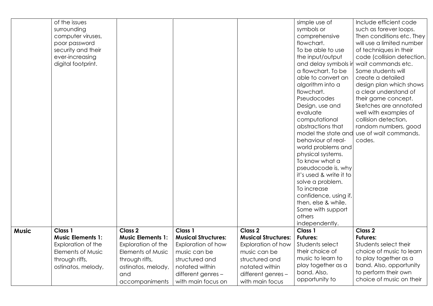|              | of the issues<br>surrounding<br>computer viruses,<br>poor password<br>security and their<br>ever-increasing<br>digital footprint. |                                                                                                                                                                   |                                                                                                                                                             |                                                                                                                                                                     | simple use of<br>symbols or<br>comprehensive<br>flowchart.<br>To be able to use<br>the input/output<br>and delay symbols ir<br>a flowchart. To be<br>able to convert an<br>algorithm into a<br>flowchart.                                                                                                                                                                       | Include efficient code<br>such as forever loops.<br>Then conditions etc. They<br>will use a limited number<br>of techniques in their<br>code (collision detection,<br>wait commands etc.<br>Some students will<br>create a detailed<br>design plan which shows<br>a clear understand of |
|--------------|-----------------------------------------------------------------------------------------------------------------------------------|-------------------------------------------------------------------------------------------------------------------------------------------------------------------|-------------------------------------------------------------------------------------------------------------------------------------------------------------|---------------------------------------------------------------------------------------------------------------------------------------------------------------------|---------------------------------------------------------------------------------------------------------------------------------------------------------------------------------------------------------------------------------------------------------------------------------------------------------------------------------------------------------------------------------|-----------------------------------------------------------------------------------------------------------------------------------------------------------------------------------------------------------------------------------------------------------------------------------------|
|              |                                                                                                                                   |                                                                                                                                                                   |                                                                                                                                                             |                                                                                                                                                                     | Pseudocodes<br>Design, use and<br>evaluate<br>computational<br>abstractions that<br>model the state and<br>behaviour of real-<br>world problems and<br>physical systems.<br>To know what a<br>pseudocode is, why<br>it's used & write it to<br>solve a problem.<br>To increase<br>confidence, using if,<br>then, else & while.<br>Some with support<br>others<br>independently. | their game concept.<br>Sketches are annotated<br>well with examples of<br>collision detection,<br>random numbers, good<br>use of wait commands.<br>codes.                                                                                                                               |
| <b>Music</b> | Class 1<br><b>Music Elements 1:</b><br>Exploration of the<br><b>Elements of Music</b><br>through riffs,<br>ostinatos, melody,     | Class <sub>2</sub><br><b>Music Elements 1:</b><br>Exploration of the<br><b>Elements of Music</b><br>through riffs,<br>ostinatos, melody,<br>and<br>accompaniments | Class 1<br><b>Musical Structures:</b><br>Exploration of how<br>music can be<br>structured and<br>notated within<br>different genres -<br>with main focus on | Class <sub>2</sub><br><b>Musical Structures:</b><br>Exploration of how<br>music can be<br>structured and<br>notated within<br>different genres -<br>with main focus | Class 1<br><b>Futures:</b><br>Students select<br>their choice of<br>music to learn to<br>play together as a<br>band. Also,<br>opportunity to                                                                                                                                                                                                                                    | <b>Class 2</b><br><b>Futures:</b><br>Students select their<br>choice of music to learn<br>to play together as a<br>band. Also, opportunity<br>to perform their own<br>choice of music on their                                                                                          |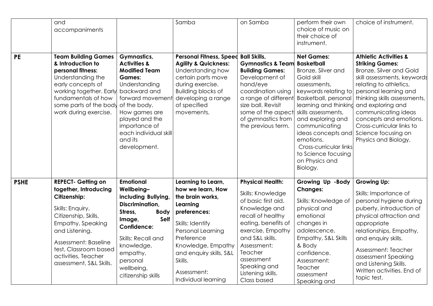| <b>PE</b>   | and<br>accompaniments<br><b>Team Building Games</b><br>& Introduction to<br>personal fitness:<br>Understanding the<br>early concepts of<br>working together. Early<br>fundamentals of how<br>some parts of the body<br>work during exercise.                    | <b>Gymnastics,</b><br><b>Activities &amp;</b><br><b>Modified Team</b><br><b>Games:</b><br>Understanding<br>backward and<br>forward movement<br>of the body.<br>How games are<br>played and the<br>importance of<br>each individual skill<br>and its<br>development. | Samba<br><b>Personal Fitness, Speed</b><br><b>Agility &amp; Quickness:</b><br>Understanding how<br>certain parts move<br>during exercise.<br><b>Building blocks of</b><br>developing a range<br>of specified<br>movements.                       | on Samba<br><b>Ball Skills,</b><br><b>Gymnastics &amp; Team Basketball</b><br><b>Building Games:</b><br>Development of<br>hand/eye<br>coordination using<br>size ball. Revisit<br>some of the aspect<br>of gymnastics from<br>the previous term.                     | perform their own<br>choice of music on<br>their choice of<br>instrument.<br><b>Net Games:</b><br>Bronze, Silver and<br>Gold skill<br>assessments,<br>keywords relating to<br>a range of different Basketball, personal<br>learning and thinking<br>skills assessments,<br>and exploring and<br>communicating<br>ideas concepts and<br>emotions.<br>Cross-curricular links<br>to Science focusing<br>on Physics and<br>Biology. | choice of instrument.<br><b>Athletic Activities &amp;</b><br><b>Striking Games:</b><br>Bronze, Silver and Gold<br>skill assessments, keywords<br>relating to athletics,<br>personal learning and<br>thinking skills assessments,<br>and exploring and<br>communicating ideas<br>concepts and emotions.<br>Cross-curricular links to<br>Science focusing on<br>Physics and Biology. |
|-------------|-----------------------------------------------------------------------------------------------------------------------------------------------------------------------------------------------------------------------------------------------------------------|---------------------------------------------------------------------------------------------------------------------------------------------------------------------------------------------------------------------------------------------------------------------|--------------------------------------------------------------------------------------------------------------------------------------------------------------------------------------------------------------------------------------------------|----------------------------------------------------------------------------------------------------------------------------------------------------------------------------------------------------------------------------------------------------------------------|---------------------------------------------------------------------------------------------------------------------------------------------------------------------------------------------------------------------------------------------------------------------------------------------------------------------------------------------------------------------------------------------------------------------------------|------------------------------------------------------------------------------------------------------------------------------------------------------------------------------------------------------------------------------------------------------------------------------------------------------------------------------------------------------------------------------------|
| <b>PSHE</b> | <b>REPECT- Getting on</b><br>together, Introducing<br><b>Citizenship:</b><br>Skills: Enquiry,<br>Citizenship, Skills,<br>Empathy, Speaking<br>and Listening.<br>Assessment: Baseline<br>test, Classroom based<br>activities, Teacher<br>assessment, S&L Skills. | Emotional<br>Wellbeing-<br>including Bullying,<br>Discrimination,<br>Stress,<br><b>Body</b><br>Self<br>Image,<br>Confidence:<br>Skills: Recall and<br>knowledge,<br>empathy,<br>personal<br>wellbeing,<br>citizenship skills                                        | Learning to Learn,<br>how we learn, How<br>the brain works,<br>Learning<br>preferences:<br>Skills: Identify<br>Personal Learning<br>Preference<br>Knowledge, Empathy<br>and enquiry skills, S&L<br>Skills.<br>Assessment:<br>Individual learning | <b>Physical Health:</b><br>Skills: Knowledge<br>of basic first aid.<br>Knowledge and<br>recall of healthy<br>eating, benefits of<br>exercise, Empathy<br>and S&L skills.<br>Assessment:<br>Teacher<br>assessment<br>Speaking and<br>Listening skills.<br>Class based | Growing Up -Body<br><b>Changes:</b><br>Skills: Knowledge of<br>physical and<br>emotional<br>changes in<br>adolescence,<br>Empathy, S&L Skills<br>& Body<br>confidence.<br>Assessment:<br>Teacher<br>assessment<br>Speaking and                                                                                                                                                                                                  | <b>Growing Up:</b><br>Skills: Importance of<br>personal hygiene during<br>puberty, introduction of<br>physical attraction and<br>appropriate<br>relationships, Empathy,<br>and enquiry skills.<br>Assessment: Teacher<br>assessment Speaking<br>and Listening Skills.<br>Written activities. End of<br>topic test.                                                                 |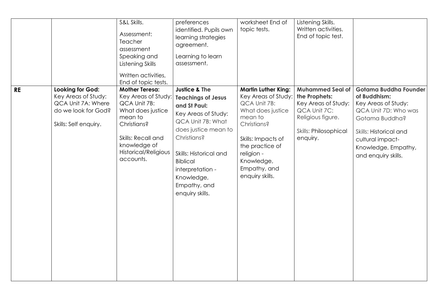|           |                                                                                                                      | S&L Skills.<br>Assessment:<br>Teacher<br>assessment<br>Speaking and<br>Listening Skills<br>Written activities,                                                                                                | preferences<br>identified. Pupils own<br>learning strategies<br>agreement.<br>Learning to learn<br>assessment.                                                                                                                                                             | worksheet End of<br>topic tests.                                                                                                                                                                                                | Listening Skills.<br>Written activities.<br>End of topic test.                                                                                   |                                                                                                                                                                                                    |
|-----------|----------------------------------------------------------------------------------------------------------------------|---------------------------------------------------------------------------------------------------------------------------------------------------------------------------------------------------------------|----------------------------------------------------------------------------------------------------------------------------------------------------------------------------------------------------------------------------------------------------------------------------|---------------------------------------------------------------------------------------------------------------------------------------------------------------------------------------------------------------------------------|--------------------------------------------------------------------------------------------------------------------------------------------------|----------------------------------------------------------------------------------------------------------------------------------------------------------------------------------------------------|
| <b>RE</b> | <b>Looking for God:</b><br>Key Areas of Study:<br>QCA Unit 7A: Where<br>do we look for God?<br>Skills: Self enquiry. | End of topic tests.<br><b>Mother Teresa:</b><br>Key Areas of Study:<br>QCA Unit 7B:<br>What does justice<br>mean to<br>Christians?<br>Skills: Recall and<br>knowledge of<br>Historical/Religious<br>accounts. | <b>Justice &amp; The</b><br><b>Teachings of Jesus</b><br>and St Paul:<br>Key Areas of Study:<br>QCA Unit 7B: What<br>does justice mean to<br>Christians?<br>Skills: Historical and<br><b>Biblical</b><br>interpretation -<br>Knowledge,<br>Empathy, and<br>enquiry skills. | <b>Martin Luther King:</b><br>Key Areas of Study:<br>QCA Unit 7B:<br>What does justice<br>mean to<br><b>Christians?</b><br>Skills: Impacts of<br>the practice of<br>religion -<br>Knowledge,<br>Empathy, and<br>enquiry skills. | <b>Muhammed Seal of</b><br>the Prophets:<br>Key Areas of Study:<br>QCA Unit 7C:<br>Religious figure.<br><b>Skills: Philosophical</b><br>enquiry. | Gotama Buddha Founder<br>of Buddhism:<br>Key Areas of Study:<br>QCA Unit 7D: Who was<br>Gotama Buddha?<br>Skills: Historical and<br>cultural impact-<br>Knowledge, Empathy,<br>and enquiry skills. |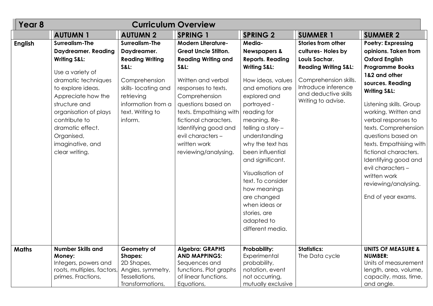| Year <sub>8</sub> |                                                                                                                                                                                                                                                                                                         | <b>Curriculum Overview</b>                                                                                                                                                                   |                                                                                                                                                                                                                                                                                                                                        |                                                                                                                                                                                                                                                                                                                                                                                                                                             |                                                                                                                                                                                                   |                                                                                                                                                                                                                                                                                                                                                                                                                                                             |
|-------------------|---------------------------------------------------------------------------------------------------------------------------------------------------------------------------------------------------------------------------------------------------------------------------------------------------------|----------------------------------------------------------------------------------------------------------------------------------------------------------------------------------------------|----------------------------------------------------------------------------------------------------------------------------------------------------------------------------------------------------------------------------------------------------------------------------------------------------------------------------------------|---------------------------------------------------------------------------------------------------------------------------------------------------------------------------------------------------------------------------------------------------------------------------------------------------------------------------------------------------------------------------------------------------------------------------------------------|---------------------------------------------------------------------------------------------------------------------------------------------------------------------------------------------------|-------------------------------------------------------------------------------------------------------------------------------------------------------------------------------------------------------------------------------------------------------------------------------------------------------------------------------------------------------------------------------------------------------------------------------------------------------------|
|                   | <b>AUTUMN1</b>                                                                                                                                                                                                                                                                                          | <b>AUTUMN 2</b>                                                                                                                                                                              | <b>SPRING 1</b>                                                                                                                                                                                                                                                                                                                        | <b>SPRING 2</b>                                                                                                                                                                                                                                                                                                                                                                                                                             | <b>SUMMER 1</b>                                                                                                                                                                                   | <b>SUMMER 2</b>                                                                                                                                                                                                                                                                                                                                                                                                                                             |
| <b>English</b>    | <b>Surrealism-The</b><br><b>Daydreamer. Reading</b><br><b>Writing S&amp;L:</b><br>Use a variety of<br>dramatic techniques<br>to explore ideas.<br>Appreciate how the<br>structure and<br>organisation of plays<br>contribute to<br>dramatic effect.<br>Organised,<br>imaginative, and<br>clear writing. | <b>Surrealism-The</b><br>Daydreamer.<br><b>Reading Writing</b><br><b>S&amp;L:</b><br>Comprehension<br>skills-locating and<br>retrieving<br>information from a<br>text. Writing to<br>inform. | <b>Modern Literature-</b><br><b>Great Uncle Stilton.</b><br><b>Reading Writing and</b><br><b>S&amp;L:</b><br>Written and verbal<br>responses to texts.<br>Comprehension<br>questions based on<br>texts. Empathising with<br>fictional characters.<br>Identifying good and<br>evil characters -<br>written work<br>reviewing/analysing. | Media-<br><b>Newspapers &amp;</b><br><b>Reports. Reading</b><br><b>Writing S&amp;L:</b><br>How ideas, values<br>and emotions are<br>explored and<br>portrayed -<br>reading for<br>meaning. Re-<br>telling a story -<br>understanding<br>why the text has<br>been influential<br>and significant.<br>Visualisation of<br>text. To consider<br>how meanings<br>are changed<br>when ideas or<br>stories, are<br>adapted to<br>different media. | <b>Stories from other</b><br>cultures- Holes by<br>Louis Sachar.<br><b>Reading Writing S&amp;L:</b><br>Comprehension skills.<br>Introduce inference<br>and deductive skills<br>Writing to advise. | <b>Poetry: Expressing</b><br>opinions. Taken from<br><b>Oxford English</b><br><b>Programme Books</b><br>1&2 and other<br>sources. Reading<br><b>Writing S&amp;L:</b><br>Listening skills. Group<br>working. Written and<br>verbal responses to<br>texts. Comprehension<br>questions based on<br>texts. Empathising with<br>fictional characters.<br>Identifying good and<br>evil characters -<br>written work<br>reviewing/analysing.<br>End of year exams. |
| <b>Maths</b>      | <b>Number Skills and</b><br>Money:<br>Integers, powers and<br>roots, multiples, factors,<br>primes. Fractions,                                                                                                                                                                                          | Geometry of<br><b>Shapes:</b><br>2D Shapes,<br>Angles, symmetry,<br>Tessellations,<br>Transformations,                                                                                       | <b>Algebra: GRAPHS</b><br><b>AND MAPPINGS:</b><br>Sequences and<br>functions. Plot graphs<br>of linear functions.<br>Equations,                                                                                                                                                                                                        | <b>Probability:</b><br>Experimental<br>probability,<br>notation, event<br>not occurring,<br>mutually exclusive                                                                                                                                                                                                                                                                                                                              | <b>Statistics:</b><br>The Data cycle                                                                                                                                                              | <b>UNITS OF MEASURE &amp;</b><br><b>NUMBER:</b><br>Units of measurement<br>length, area, volume,<br>capacity, mass, time,<br>and angle.                                                                                                                                                                                                                                                                                                                     |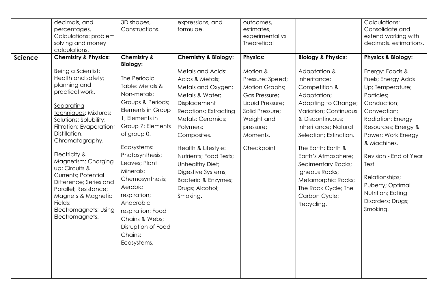| <b>Science</b> | decimals, and<br>percentages.<br>Calculations: problem<br>solving and money<br>calculations.<br><b>Chemistry &amp; Physics:</b>                                                                                                                                                                                                                                                                                                      | 3D shapes,<br>Constructions.<br><b>Chemistry &amp;</b><br><b>Biology:</b>                                                                                                                                                                                                                                                                                        | expressions, and<br>formulae.<br><b>Chemistry &amp; Biology:</b>                                                                                                                                                                                                                                                                   | outcomes,<br>estimates,<br>experimental vs<br>Theoretical<br><b>Physics:</b>                                                                                       | <b>Biology &amp; Physics:</b>                                                                                                                                                                                                                                                                                                                       | Calculations:<br>Consolidate and<br>extend working with<br>decimals. estimations.<br><b>Physics &amp; Biology:</b>                                                                                                                                                                                                   |
|----------------|--------------------------------------------------------------------------------------------------------------------------------------------------------------------------------------------------------------------------------------------------------------------------------------------------------------------------------------------------------------------------------------------------------------------------------------|------------------------------------------------------------------------------------------------------------------------------------------------------------------------------------------------------------------------------------------------------------------------------------------------------------------------------------------------------------------|------------------------------------------------------------------------------------------------------------------------------------------------------------------------------------------------------------------------------------------------------------------------------------------------------------------------------------|--------------------------------------------------------------------------------------------------------------------------------------------------------------------|-----------------------------------------------------------------------------------------------------------------------------------------------------------------------------------------------------------------------------------------------------------------------------------------------------------------------------------------------------|----------------------------------------------------------------------------------------------------------------------------------------------------------------------------------------------------------------------------------------------------------------------------------------------------------------------|
|                | Being a Scientist:<br>Health and safety;<br>planning and<br>practical work.<br>Separating<br>techniques: Mixtures;<br>Solutions; Solubility;<br>Filtration; Evaporation;<br>Distillation;<br>Chromatography.<br>Electricity &<br>Magnetism: Charging<br>up; Circuits &<br><b>Currents; Potential</b><br>Difference; Series and<br>Parallel; Resistance;<br>Magnets & Magnetic<br>Fields;<br>Electromagnets; Using<br>Electromagnets. | The Periodic<br>Table: Metals &<br>Non-metals;<br>Groups & Periods;<br>Elements in Group<br>1; Elements in<br>Group 7; Elements<br>of group 0.<br>Ecosystems:<br>Photosynthesis;<br>Leaves; Plant<br>Minerals;<br>Chemosynthesis;<br>Aerobic<br>respiration;<br>Anaerobic<br>respiration; Food<br>Chains & Webs;<br>Disruption of Food<br>Chains;<br>Ecosystems. | Metals and Acids:<br>Acids & Metals;<br>Metals and Oxygen;<br>Metals & Water;<br>Displacement<br>Reactions; Extracting<br>Metals; Ceramics;<br>Polymers;<br>Composites.<br>Health & Lifestyle:<br>Nutrients; Food Tests;<br>Unhealthy Diet;<br>Digestive Systems;<br><b>Bacteria &amp; Enzymes;</b><br>Drugs; Alcohol;<br>Smoking. | Motion &<br>Pressure: Speed;<br><b>Motion Graphs;</b><br>Gas Pressure;<br>Liquid Pressure;<br>Solid Pressure;<br>Weight and<br>pressure;<br>Moments.<br>Checkpoint | Adaptation &<br>Inheritance:<br>Competition &<br>Adaptation;<br>Adapting to Change;<br>Variation; Continuous<br>& Discontinuous;<br>Inheritance; Natural<br>Selection; Extinction.<br>The Earth: Earth &<br>Earth's Atmosphere;<br>Sedimentary Rocks;<br>Igneous Rocks;<br>Metamorphic Rocks;<br>The Rock Cycle; The<br>Carbon Cycle;<br>Recycling. | Energy: Foods &<br>Fuels; Energy Adds<br>Up; Temperature;<br>Particles;<br>Conduction;<br>Convection;<br>Radiation; Energy<br>Resources; Energy &<br>Power; Work Energy<br>& Machines.<br>Revision - End of Year<br>Test<br>Relationships;<br>Puberty; Optimal<br>Nutrition; Eating<br>Disorders; Drugs;<br>Smoking. |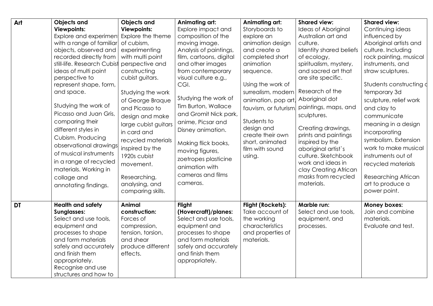| Art       | <b>Objects and</b><br><b>Viewpoints:</b><br>Explore and experiment<br>with a range of familiar<br>objects, observed and<br>recorded directly from<br>still-life. Research Cubist<br>ideas of multi point<br>perspective to<br>represent shape, form,<br>and space.<br>Studying the work of | <b>Objects and</b><br><b>Viewpoints:</b><br>Explore the theme<br>of cubism,<br>experimenting<br>with multi point<br>perspective and<br>constructing<br>cubist guitars.<br>Studying the work<br>of George Braque<br>and Picasso to | Animating art:<br>Explore impact and<br>composition of the<br>moving image.<br>Analysis of paintings,<br>film, cartoons, digital<br>and other images<br>from contemporary<br>visual culture e.g.,<br>CGI.<br>Studying the work of<br>Tim Burton, Wallace | Animating art:<br>Storyboards to<br>explore an<br>animation design<br>and create a<br>completed short<br>animation<br>sequence.<br>Using the work of<br>surrealism, modern<br>animation, pop art Aboriginal dot<br>fauvism, or futurism. | <b>Shared view:</b><br>Ideas of Aboriginal<br>Australian art and<br>culture.<br>Identity shared beliefs<br>of ecology,<br>spiritualism, mystery,<br>and sacred art that<br>are site specific.<br>Research of the<br>paintings, maps, and | <b>Shared view:</b><br>Continuing ideas<br>influenced by<br>Aboriginal artists and<br>culture. Including<br>rock painting, musical<br>instruments, and<br>straw sculptures.<br>Students constructing of<br>temporary 3d<br>sculpture, relief work<br>and clay to |
|-----------|--------------------------------------------------------------------------------------------------------------------------------------------------------------------------------------------------------------------------------------------------------------------------------------------|-----------------------------------------------------------------------------------------------------------------------------------------------------------------------------------------------------------------------------------|----------------------------------------------------------------------------------------------------------------------------------------------------------------------------------------------------------------------------------------------------------|------------------------------------------------------------------------------------------------------------------------------------------------------------------------------------------------------------------------------------------|------------------------------------------------------------------------------------------------------------------------------------------------------------------------------------------------------------------------------------------|------------------------------------------------------------------------------------------------------------------------------------------------------------------------------------------------------------------------------------------------------------------|
|           | Picasso and Juan Gris,<br>comparing their<br>different styles in<br>Cubism. Producing<br>observational drawings<br>of musical instruments<br>in a range of recycled<br>materials. Working in<br>collage and<br>annotating findings.                                                        | design and make<br>large cubist guitars<br>in card and<br>recycled materials<br>inspired by the<br>1920s cubist<br>movement.<br>Researching,<br>analysing, and<br>comparing skills.                                               | and Gromit Nick park,<br>anime, Picsar and<br>Disney animation.<br>Making flick books,<br>moving figures,<br>zoetropes plasticine<br>animation with<br>cameras and films<br>cameras.                                                                     | Students to<br>design and<br>create their own<br>short, animated<br>film with sound<br>using.                                                                                                                                            | sculptures.<br>Creating drawings,<br>prints and paintings<br>inspired by the<br>aboriginal artist's<br>culture. Sketchbook<br>work and ideas in<br>clay Creating African<br>masks from recycled<br>materials.                            | communicate<br>meaning in a design<br>incorporating<br>symbolism. Extension<br>work to make musical<br>instruments out of<br>recycled materials<br>Researching African<br>art to produce a<br>power point.                                                       |
| <b>DT</b> | <b>Health and safety</b><br><b>Sunglasses:</b><br>Select and use tools,<br>equipment and<br>processes to shape<br>and form materials<br>safely and accurately<br>and finish them<br>appropriately.<br>Recognise and use<br>structures and how to                                           | <b>Animal</b><br>construction:<br>Forces of<br>compression,<br>tension, torsion,<br>and shear<br>produce different<br>effects.                                                                                                    | Flight<br>(Hovercraft)/planes:<br>Select and use tools,<br>equipment and<br>processes to shape<br>and form materials<br>safely and accurately<br>and finish them<br>appropriately.                                                                       | <b>Flight (Rockets):</b><br>Take account of<br>the working<br>characteristics<br>and properties of<br>materials.                                                                                                                         | Marble run:<br>Select and use tools,<br>equipment, and<br>processes.                                                                                                                                                                     | Money boxes:<br>Join and combine<br>materials.<br>Evaluate and test.                                                                                                                                                                                             |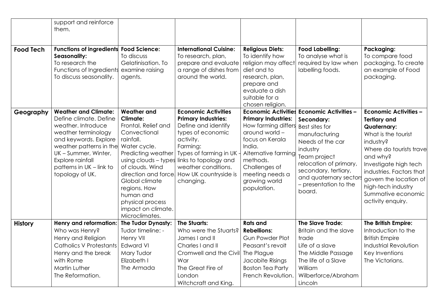|                  | support and reinforce<br>them.                                                                                                                                                                                                                    |                                                                                                                                                                                                                                                                                      |                                                                                                                                                                                                                                                                      |                                                                                                                                                                                                                                       |                                                                                                                                                                                                                                              |                                                                                                                                                                                                                                                                                               |
|------------------|---------------------------------------------------------------------------------------------------------------------------------------------------------------------------------------------------------------------------------------------------|--------------------------------------------------------------------------------------------------------------------------------------------------------------------------------------------------------------------------------------------------------------------------------------|----------------------------------------------------------------------------------------------------------------------------------------------------------------------------------------------------------------------------------------------------------------------|---------------------------------------------------------------------------------------------------------------------------------------------------------------------------------------------------------------------------------------|----------------------------------------------------------------------------------------------------------------------------------------------------------------------------------------------------------------------------------------------|-----------------------------------------------------------------------------------------------------------------------------------------------------------------------------------------------------------------------------------------------------------------------------------------------|
| <b>Food Tech</b> | Functions of ingredients Food Science:<br>Seasonality:<br>To research the<br>Functions of Ingredients examine raising<br>To discuss seasonality.                                                                                                  | To discuss<br>Gelatinisation. To<br>agents.                                                                                                                                                                                                                                          | <b>International Cuisine:</b><br>To research, plan,<br>prepare and evaluate<br>a range of dishes from<br>around the world.                                                                                                                                           | <b>Religious Diets:</b><br>To identify how<br>religion may affect<br>diet and to<br>research, plan,<br>prepare and<br>evaluate a dish<br>suitable for a<br>chosen religion.                                                           | <b>Food Labelling:</b><br>To analyse what is<br>required by law when<br>labelling foods.                                                                                                                                                     | Packaging:<br>To compare food<br>packaging. To create<br>an example of Food<br>packaging.                                                                                                                                                                                                     |
| Geography        | <b>Weather and Climate:</b><br>Define climate. Define<br>weather. Introduce<br>weather terminology<br>and keywords. Explore<br>weather patterns in the<br>UK - Summer, Winter,<br>Explore rainfall<br>patterns in UK - link to<br>topology of UK. | <b>Weather and</b><br><b>Climate:</b><br>Frontal, Relief and<br>Convectional<br>rainfall.<br>Water cycle.<br>Predicting weather<br>of clouds. Wind<br>direction and force<br>Global climate<br>regions. How<br>human and<br>physical process<br>impact on climate.<br>Microclimates. | <b>Economic Activities</b><br><b>Primary Industries:</b><br>Define and identify<br>types of economic<br>activity.<br>Farming:<br>Types of farming in UK .<br>using clouds – types links to topology and<br>weather conditions.<br>How UK countryside is<br>changing. | <b>Economic Activities</b><br><b>Primary Industries:</b><br>How farming differs<br>around world -<br>focus on Kerala<br>India.<br>Alternative farming<br>methods.<br>Challenges of<br>meeting needs a<br>growing world<br>population. | <b>Economic Activities -</b><br>Secondary:<br>Best sites for<br>manufacturing<br>Needs of the car<br>industry<br>Team project<br>relocation of primary,<br>secondary, tertiary,<br>and quaternary sectors<br>- presentation to the<br>board. | <b>Economic Activities -</b><br><b>Tertiary and</b><br>Quaternary:<br>What is the tourist<br>industry?<br>Where do tourists trave<br>and why?<br>Investigate high tech<br>industries. Factors that<br>govern the location of<br>high-tech industry<br>Summative economic<br>activity enquiry. |
| <b>History</b>   | Henry and reformation:<br>Who was Henry?<br>Henry and Religion<br><b>Catholics V Protestants</b><br>Henry and the break<br>with Rome<br>Martin Luther<br>The Reformation.                                                                         | The Tudor Dynasty:<br>Tudor timeline: -<br>Henry VII<br><b>Edward VI</b><br>Mary Tudor<br>Elizabeth I<br>The Armada                                                                                                                                                                  | <b>The Stuarts:</b><br>Who were the Stuarts?<br>James I and II<br>Charles I and II<br>Cromwell and the Civil<br>War<br>The Great Fire of<br>London<br>Witchcraft and King.                                                                                           | <b>Rats and</b><br><b>Rebellions:</b><br><b>Gun Powder Plot</b><br>Peasant's revolt<br>The Plague<br>Jacobite Risings<br><b>Boston Tea Party</b><br>French Revolution.                                                                | <b>The Slave Trade:</b><br>Britain and the slave<br>trade<br>Life of a slave<br>The Middle Passage<br>The life of a Slave<br>William<br>Wilberforce/Abraham<br>Lincoln                                                                       | The British Empire:<br>Introduction to the<br><b>British Empire</b><br><b>Industrial Revolution</b><br>Key Inventions<br>The Victorians.                                                                                                                                                      |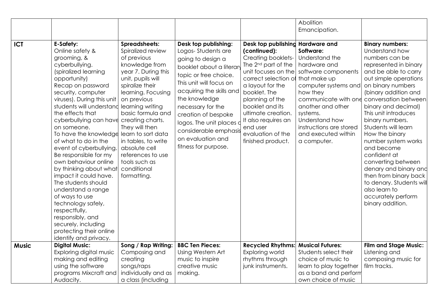|              |                                                                                                                                                                                                                                                                                                                                                                                                                                                                                                                                                                                                                                                                                                  |                                                                                                                                                                                                                                                                                                                                                       |                                                                                                                                                                                                                                                                                                                                            |                                                                                                                                                                                                                                                                                                                                       | Abolition                                                                                                                                                                                                                                                          |                                                                                                                                                                                                                                                                                                                                                                                                                                                                                                                                          |
|--------------|--------------------------------------------------------------------------------------------------------------------------------------------------------------------------------------------------------------------------------------------------------------------------------------------------------------------------------------------------------------------------------------------------------------------------------------------------------------------------------------------------------------------------------------------------------------------------------------------------------------------------------------------------------------------------------------------------|-------------------------------------------------------------------------------------------------------------------------------------------------------------------------------------------------------------------------------------------------------------------------------------------------------------------------------------------------------|--------------------------------------------------------------------------------------------------------------------------------------------------------------------------------------------------------------------------------------------------------------------------------------------------------------------------------------------|---------------------------------------------------------------------------------------------------------------------------------------------------------------------------------------------------------------------------------------------------------------------------------------------------------------------------------------|--------------------------------------------------------------------------------------------------------------------------------------------------------------------------------------------------------------------------------------------------------------------|------------------------------------------------------------------------------------------------------------------------------------------------------------------------------------------------------------------------------------------------------------------------------------------------------------------------------------------------------------------------------------------------------------------------------------------------------------------------------------------------------------------------------------------|
|              |                                                                                                                                                                                                                                                                                                                                                                                                                                                                                                                                                                                                                                                                                                  |                                                                                                                                                                                                                                                                                                                                                       |                                                                                                                                                                                                                                                                                                                                            |                                                                                                                                                                                                                                                                                                                                       | Emancipation.                                                                                                                                                                                                                                                      |                                                                                                                                                                                                                                                                                                                                                                                                                                                                                                                                          |
|              |                                                                                                                                                                                                                                                                                                                                                                                                                                                                                                                                                                                                                                                                                                  |                                                                                                                                                                                                                                                                                                                                                       |                                                                                                                                                                                                                                                                                                                                            |                                                                                                                                                                                                                                                                                                                                       |                                                                                                                                                                                                                                                                    |                                                                                                                                                                                                                                                                                                                                                                                                                                                                                                                                          |
| <b>ICT</b>   | E-Safety:<br>Online safety &<br>grooming, &<br>cyberbullying.<br>(spiralized learning<br>opportunity)<br>Recap on password<br>security, computer<br>viruses). During this unit<br>students will understand<br>the effects that<br>cyberbullying can have creating charts.<br>on someone.<br>To have the knowledge learn to sort data<br>of what to do in the<br>event of cyberbullying.<br>Be responsible for my<br>own behaviour online<br>by thinking about what<br>impact it could have.<br>The students should<br>understand a range<br>of ways to use<br>technology safely,<br>respectfully,<br>responsibly, and<br>securely, including<br>protecting their online<br>identify and privacy. | <b>Spreadsheets:</b><br>Spiralized review<br>of previous<br>knowledge from<br>year 7. During this<br>unit, pupils will<br>spiralize their<br>learning. Focusing<br>on previous<br>learning writing<br>basic formula and<br>They will then<br>in tables, to write<br>absolute cell<br>references to use<br>tools such as<br>conditional<br>formatting. | Desk top publishing:<br>Logos-Students are<br>going to design a<br>booklet about a literary<br>topic or free choice.<br>This unit will focus on<br>acquiring the skills and<br>the knowledge<br>necessary for the<br>creation of bespoke<br>logos. The unit places d<br>considerable emphasis<br>on evaluation and<br>fitness for purpose. | Desk top publishing Hardware and<br>(continued):<br>Creating booklets-<br>The 2 <sup>nd</sup> part of the<br>unit focuses on the<br>correct selection of<br>a layout for the<br>booklet. The<br>planning of the<br>booklet and its<br>ultimate creation.<br>It also requires an<br>end user<br>evaluation of the<br>finished product. | Software:<br>Understand the<br>hardware and<br>software components<br>that make up<br>computer systems and<br>how they<br>communicate with one<br>another and other<br>systems.<br>Understand how<br>instructions are stored<br>and executed within<br>a computer. | <b>Binary numbers:</b><br>Understand how<br>numbers can be<br>represented in binary<br>and be able to carry<br>out simple operations<br>on binary numbers<br>(binary addition and<br>conversation between<br>binary and decimal)<br>This unit introduces<br>binary numbers.<br>Students will learn<br>How the binary<br>number system works<br>and become<br>confident at<br>converting between<br>denary and binary and<br>then from binary back<br>to denary. Students will<br>also learn to<br>accurately perform<br>binary addition. |
| <b>Music</b> | <b>Digital Music:</b><br>Exploring digital music                                                                                                                                                                                                                                                                                                                                                                                                                                                                                                                                                                                                                                                 | Song / Rap Writing:<br>Composing and                                                                                                                                                                                                                                                                                                                  | <b>BBC Ten Pieces:</b><br>Using Western Art                                                                                                                                                                                                                                                                                                | <b>Recycled Rhythms:</b><br>Exploring world                                                                                                                                                                                                                                                                                           | <b>Musical Futures:</b><br>Students select their                                                                                                                                                                                                                   | <b>Film and Stage Music:</b><br>Listening and                                                                                                                                                                                                                                                                                                                                                                                                                                                                                            |
|              | making and editing                                                                                                                                                                                                                                                                                                                                                                                                                                                                                                                                                                                                                                                                               | creating                                                                                                                                                                                                                                                                                                                                              | music to inspire                                                                                                                                                                                                                                                                                                                           | rhythms through                                                                                                                                                                                                                                                                                                                       | choice of music to                                                                                                                                                                                                                                                 | composing music for                                                                                                                                                                                                                                                                                                                                                                                                                                                                                                                      |
|              | using the software                                                                                                                                                                                                                                                                                                                                                                                                                                                                                                                                                                                                                                                                               | songs/raps                                                                                                                                                                                                                                                                                                                                            | creative music                                                                                                                                                                                                                                                                                                                             | junk instruments.                                                                                                                                                                                                                                                                                                                     | learn to play together                                                                                                                                                                                                                                             | film tracks.                                                                                                                                                                                                                                                                                                                                                                                                                                                                                                                             |
|              | programs Mixcraft and                                                                                                                                                                                                                                                                                                                                                                                                                                                                                                                                                                                                                                                                            | individually and as                                                                                                                                                                                                                                                                                                                                   | making.                                                                                                                                                                                                                                                                                                                                    |                                                                                                                                                                                                                                                                                                                                       | as a band and perform                                                                                                                                                                                                                                              |                                                                                                                                                                                                                                                                                                                                                                                                                                                                                                                                          |
|              | Audacity.                                                                                                                                                                                                                                                                                                                                                                                                                                                                                                                                                                                                                                                                                        | a class (including                                                                                                                                                                                                                                                                                                                                    |                                                                                                                                                                                                                                                                                                                                            |                                                                                                                                                                                                                                                                                                                                       | own choice of music                                                                                                                                                                                                                                                |                                                                                                                                                                                                                                                                                                                                                                                                                                                                                                                                          |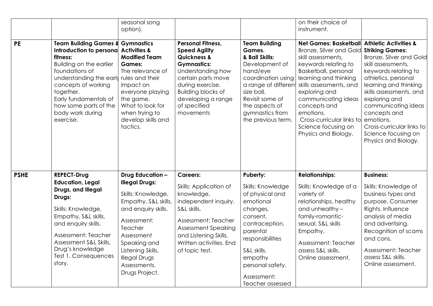|             |                                                                                                                                                                                                                                                                                | seasonal song<br>option).                                                                                                                                                                                                                                    |                                                                                                                                                                                                                                                 |                                                                                                                                                                                                                          | on their choice of<br>instrument.                                                                                                                                                                                                                                                                                                  |                                                                                                                                                                                                                                                                                                                                                                        |
|-------------|--------------------------------------------------------------------------------------------------------------------------------------------------------------------------------------------------------------------------------------------------------------------------------|--------------------------------------------------------------------------------------------------------------------------------------------------------------------------------------------------------------------------------------------------------------|-------------------------------------------------------------------------------------------------------------------------------------------------------------------------------------------------------------------------------------------------|--------------------------------------------------------------------------------------------------------------------------------------------------------------------------------------------------------------------------|------------------------------------------------------------------------------------------------------------------------------------------------------------------------------------------------------------------------------------------------------------------------------------------------------------------------------------|------------------------------------------------------------------------------------------------------------------------------------------------------------------------------------------------------------------------------------------------------------------------------------------------------------------------------------------------------------------------|
| <b>PE</b>   | <b>Team Building Games &amp;</b><br>Introduction to personal<br>fitness:<br><b>Building on the earlier</b><br>foundations of<br>understanding the early<br>concepts of working<br>together.<br>Early fundamentals of<br>how some parts of the<br>body work during<br>exercise. | <b>Gymnastics</b><br><b>Activities &amp;</b><br><b>Modified Team</b><br><b>Games:</b><br>The relevance of<br>rules and their<br>impact on<br>everyone playing<br>the game.<br>What to look for<br>when trying to<br>develop skills and<br>tactics.           | <b>Personal Fitness,</b><br><b>Speed Agility</b><br><b>Quickness &amp;</b><br><b>Gymnastics:</b><br>Understanding how<br>certain parts move<br>during exercise.<br><b>Building blocks of</b><br>developing a range<br>of specified<br>movements | <b>Team Building</b><br>Games.<br>& Ball Skills:<br>Development of<br>hand/eye<br>coordination using<br>a range of different<br>size ball.<br>Revisit some of<br>the aspects of<br>gymnastics from<br>the previous term. | <b>Net Games: Basketball</b><br>Bronze, Silver and Gold<br>skill assessments,<br>keywords relating to<br>Basketball, personal<br>learning and thinking<br>skills assessments, and<br>exploring and<br>communicating ideas<br>concepts and<br>emotions.<br>Cross-curricular links to<br>Science focusing on<br>Physics and Biology. | <b>Athletic Activities &amp;</b><br><b>Striking Games:</b><br><b>Bronze, Silver and Gold</b><br>skill assessments,<br>keywords relating to<br>athletics, personal<br>learning and thinking<br>skills assessments, and<br>exploring and<br>communicating ideas<br>concepts and<br>emotions.<br>Cross-curricular links to<br>Science focusing on<br>Physics and Biology. |
| <b>PSHE</b> | <b>REPECT-Drug</b><br><b>Education, Legal</b><br>Drugs, and Illegal<br>Drugs:<br>Skills: Knowledge,<br>Empathy, S&L skills,<br>and enquiry skills.<br>Assessment: Teacher<br>Assessment S&L Skills,<br>Drug's knowledge<br>Test 1. Consequences<br>story.                      | <b>Drug Education -</b><br><b>Illegal Drugs:</b><br>Skills: Knowledge,<br>Empathy, S&L skills,<br>and enquiry skills.<br>Assessment:<br>Teacher<br>Assessment<br>Speaking and<br>Listening Skills.<br><b>Illegal Drugs</b><br>Assessments.<br>Drugs Project. | <b>Careers:</b><br>Skills: Application of<br>knowledge,<br>independent inquiry.<br>S&L skills.<br>Assessment: Teacher<br><b>Assessment Speaking</b><br>and Listening Skills.<br>Written activities. End<br>of topic test.                       | Puberty:<br>Skills: Knowledge<br>of physical and<br>emotional<br>changes,<br>consent,<br>contraception,<br>parental<br>responsibilities<br>S&L skills,<br>empathy<br>personal safety.<br>Assessment:<br>Teacher assessed | <b>Relationships:</b><br>Skills: Knowledge of a<br>variety of<br>relationships, healthy<br>and unhealthy -<br>family-romantic-<br>sexual. S&L skills<br>Empathy.<br>Assessment: Teacher<br>assess S&L skills.<br>Online assessment.                                                                                                | <b>Business:</b><br>Skills: Knowledge of<br>business types and<br>purpose. Consumer<br>Rights. Influence<br>analysis of media<br>and advertising.<br>Recognition of scams<br>and cons.<br>Assessment: Teacher<br>assess S&L skills.<br>Online assessment.                                                                                                              |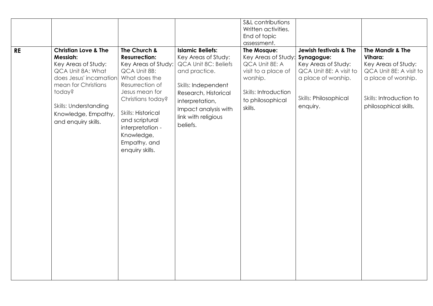|           |                                                                                                                                                                                                                                   |                                                                                                                                                                                                                                                                     |                                                                                                                                                                                                                      | S&L contributions<br>Written activities.<br>End of topic<br>assessment.                                                                        |                                                                                                                                                               |                                                                                                                                                          |
|-----------|-----------------------------------------------------------------------------------------------------------------------------------------------------------------------------------------------------------------------------------|---------------------------------------------------------------------------------------------------------------------------------------------------------------------------------------------------------------------------------------------------------------------|----------------------------------------------------------------------------------------------------------------------------------------------------------------------------------------------------------------------|------------------------------------------------------------------------------------------------------------------------------------------------|---------------------------------------------------------------------------------------------------------------------------------------------------------------|----------------------------------------------------------------------------------------------------------------------------------------------------------|
| <b>RE</b> | <b>Christian Love &amp; The</b><br>Messiah:<br>Key Areas of Study:<br>QCA Unit 8A: What<br>does Jesus' incarnation<br>mean for Christians<br>today?<br><b>Skills: Understanding</b><br>Knowledge, Empathy,<br>and enquiry skills. | The Church &<br><b>Resurrection:</b><br>Key Areas of Study:<br>QCA Unit 8B:<br>What does the<br>Resurrection of<br>Jesus mean for<br>Christians today?<br>Skills: Historical<br>and scriptural<br>interpretation -<br>Knowledge,<br>Empathy, and<br>enquiry skills. | <b>Islamic Beliefs:</b><br>Key Areas of Study:<br>QCA Unit 8C: Beliefs<br>and practice.<br>Skills: Independent<br>Research, Historical<br>interpretation,<br>Impact analysis with<br>link with religious<br>beliefs. | The Mosque:<br>Key Areas of Study:<br>QCA Unit 8E: A<br>visit to a place of<br>worship.<br>Skills: Introduction<br>to philosophical<br>skills. | <b>Jewish festivals &amp; The</b><br>Synagogue:<br>Key Areas of Study:<br>QCA Unit 8E: A visit to<br>a place of worship.<br>Skills: Philosophical<br>enquiry. | The Mandir & The<br>Vihara:<br>Key Areas of Study:<br>QCA Unit 8E: A visit to<br>a place of worship.<br>Skills: Introduction to<br>philosophical skills. |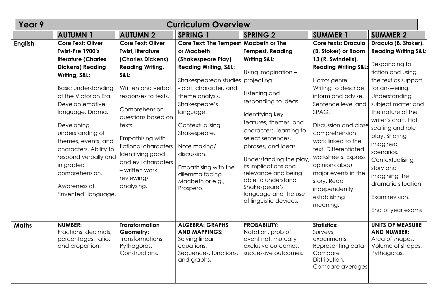| Year 9         | <b>Curriculum Overview</b>                                                                                                                                                                                                                                                                                                                                                                      |                                                                                                                                                                                                                                                                                                                                                             |                                                                                                                                                                                                                                                                                                                                                 |                                                                                                                                                                                                                                                                                                                                                                                                                                                |                                                                                                                                                                                                                                                                                                                                                                                                                             |                                                                                                                                                                                                                                                                                                                                                                                                        |  |  |
|----------------|-------------------------------------------------------------------------------------------------------------------------------------------------------------------------------------------------------------------------------------------------------------------------------------------------------------------------------------------------------------------------------------------------|-------------------------------------------------------------------------------------------------------------------------------------------------------------------------------------------------------------------------------------------------------------------------------------------------------------------------------------------------------------|-------------------------------------------------------------------------------------------------------------------------------------------------------------------------------------------------------------------------------------------------------------------------------------------------------------------------------------------------|------------------------------------------------------------------------------------------------------------------------------------------------------------------------------------------------------------------------------------------------------------------------------------------------------------------------------------------------------------------------------------------------------------------------------------------------|-----------------------------------------------------------------------------------------------------------------------------------------------------------------------------------------------------------------------------------------------------------------------------------------------------------------------------------------------------------------------------------------------------------------------------|--------------------------------------------------------------------------------------------------------------------------------------------------------------------------------------------------------------------------------------------------------------------------------------------------------------------------------------------------------------------------------------------------------|--|--|
|                | <b>AUTUMN 1</b>                                                                                                                                                                                                                                                                                                                                                                                 | <b>AUTUMN 2</b>                                                                                                                                                                                                                                                                                                                                             | <b>SPRING 1</b>                                                                                                                                                                                                                                                                                                                                 | <b>SPRING 2</b>                                                                                                                                                                                                                                                                                                                                                                                                                                | <b>SUMMER 1</b>                                                                                                                                                                                                                                                                                                                                                                                                             | <b>SUMMER 2</b>                                                                                                                                                                                                                                                                                                                                                                                        |  |  |
| <b>English</b> | <b>Core Text: Oliver</b><br>Twist-Pre 1900's<br>literature (Charles<br><b>Dickens) Reading</b><br>Writing, S&L:<br><b>Basic understanding</b><br>of the Victorian Era.<br>Develop emotive<br>language. Drama.<br>Developing<br>understanding of<br>themes, events, and<br>characters. Ability to<br>respond verbally and<br>in graded<br>comprehension.<br>Awareness of<br>'invented' language. | <b>Core Text: Oliver</b><br><b>Twist, literature</b><br>(Charles Dickens)<br><b>Reading Writing,</b><br><b>S&amp;L:</b><br>Written and verbal<br>responses to texts.<br>Comprehension<br>questions based on<br>texts.<br>Empathising with<br>fictional characters.<br>Identifying good<br>and evil characters<br>- written work<br>reviewing/<br>analysing. | Core Text: The Tempest<br>or Macbeth<br>(Shakespeare Play)<br><b>Reading Writing, S&amp;L:</b><br>Shakespearean studies<br>- plot, character, and<br>theme analysis.<br>Shakespeare's<br>language.<br>Contextualising<br>Shakespeare.<br>Note making/<br>discussion.<br>Empathising with the<br>dilemma facing<br>Macbeth or e.g.,<br>Prospero. | <b>Macbeth or The</b><br><b>Tempest. Reading</b><br><b>Writing S&amp;L:</b><br>Using imagination -<br>projecting<br>Listening and<br>responding to ideas.<br>Identifying key<br>features, themes, and<br>characters, learning to<br>select sentences,<br>phrases, and ideas.<br>Understanding the play<br>its implications and<br>relevance and being<br>able to understand<br>Shakespeare's<br>language and the use<br>of linguistic devices. | <b>Core texts: Dracula</b><br>(B. Stoker) or Room<br>13 (R. Swindells).<br><b>Reading Writing S&amp;L:</b><br>Horror genre.<br>Writing to describe,<br>inform and advise.<br>Sentence level and<br>SPAG.<br>Discussion and close<br>comprehension<br>work linked to the<br>text. Differentiated<br>worksheets. Express<br>opinions about<br>major events in the<br>story. Read<br>independently<br>establishing<br>meaning. | Dracula (B. Stoker).<br><b>Reading Writing S&amp;L:</b><br>Responding to<br>fiction and using<br>the text as support<br>for answering.<br>Understanding<br>subject matter and<br>the nature of the<br>writer's craft. Hot<br>seating and role<br>play. Sharing<br>imagined<br>scenarios.<br>Contextualising<br>story and<br>imagining the<br>dramatic situation<br>Exam revision.<br>End of year exams |  |  |
| <b>Maths</b>   | <b>NUMBER:</b><br>Fractions, decimals,<br>percentages, ratio,<br>and proportion.                                                                                                                                                                                                                                                                                                                | <b>Transformation</b><br>Geometry:<br>Transformations,<br>Pythagoras,<br>Constructions.                                                                                                                                                                                                                                                                     | <b>ALGEBRA: GRAPHS</b><br><b>AND MAPPINGS:</b><br>Solving linear<br>equations.<br>Sequences, functions,<br>and graphs.                                                                                                                                                                                                                          | <b>PROBABILITY:</b><br>Notation, prob of<br>event not, mutually<br>exclusive outcomes,<br>successive outcomes.                                                                                                                                                                                                                                                                                                                                 | <b>Statistics:</b><br>Surveys,<br>experiments,<br>Representing data<br>Compare<br>Distribution,<br>Compare averages.                                                                                                                                                                                                                                                                                                        | <b>UNITS OF MEASURE</b><br><b>AND NUMBER:</b><br>Area of shapes,<br>Volume of shapes,<br>Pythagoras.                                                                                                                                                                                                                                                                                                   |  |  |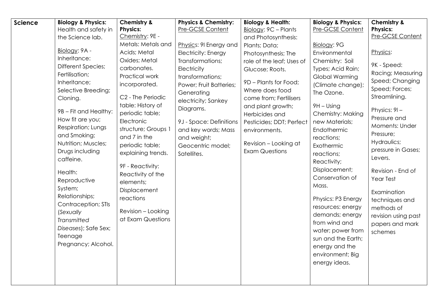| <b>Science</b> | <b>Biology &amp; Physics:</b> | <b>Chemistry &amp;</b> | Physics & Chemistry:    | <b>Biology &amp; Health:</b> | <b>Biology &amp; Physics:</b> | <b>Chemistry &amp;</b> |
|----------------|-------------------------------|------------------------|-------------------------|------------------------------|-------------------------------|------------------------|
|                | Health and safety in          | <b>Physics:</b>        | <b>Pre-GCSE Content</b> | Biology: 9C - Plants         | Pre-GCSE Content              | <b>Physics:</b>        |
|                | the Science lab.              | Chemistry: 9E -        |                         | and Photosynthesis:          |                               | Pre-GCSE Content       |
|                |                               | Metals: Metals and     | Physics: 9I Energy and  | Plants; Data;                | Biology: 9G                   |                        |
|                | Biology: 9A -                 | Acids; Metal           | Electricity: Energy     | Photosynthesis; The          | Environmental                 | Physics:               |
|                | Inheritance:                  | Oxides; Metal          | Transformations;        | role of the leaf; Uses of    | Chemistry: Soil               | 9K - Speed:            |
|                | <b>Different Species;</b>     | carbonates.            | Electricity             | Glucose; Roots.              | Types; Acid Rain;             | Racing; Measuring      |
|                | Fertilisation;                | Practical work         | transformations;        |                              | Global Warming                | Speed; Changing        |
|                | Inheritance;                  | incorporated.          | Power; Fruit Batteries; | 9D - Plants for Food;        | (Climate change);             | Speed; Forces;         |
|                | Selective Breeding;           | C2 - The Periodic      | Generating              | Where does food              | The Ozone.                    | Streamlining.          |
|                | Cloning.                      | table: History of      | electricity; Sankey     | come from; Fertilisers       |                               |                        |
|                | 9B - Fit and Healthy:         | periodic table;        | Diagrams.               | and plant growth;            | 9H - Using                    | Physics: 9I-           |
|                | How fit are you;              | Electronic             |                         | Herbicides and               | Chemistry: Making             | Pressure and           |
|                | Respiration; Lungs            | structure; Groups 1    | 9J - Space: Definitions | Pesticides; DDT; Perfect     | new Materials;                | Moments: Under         |
|                | and Smoking;                  | and 7 in the           | and key words; Mass     | environments.                | Endothermic                   | Pressure;              |
|                | Nutrition; Muscles;           | periodic table;        | and weight;             | Revision - Looking at        | reactions;                    | Hydraulics;            |
|                | Drugs including               | explaining trends.     | Geocentric model;       | <b>Exam Questions</b>        | Exothermic                    | pressure in Gases;     |
|                | caffeine.                     |                        | Satellites.             |                              | reactions;                    | Levers.                |
|                |                               | 9F - Reactivity:       |                         |                              | Reactivity;                   |                        |
|                | Health:                       | Reactivity of the      |                         |                              | Displacement;                 | Revision - End of      |
|                | Reproductive                  | elements;              |                         |                              | Conservation of               | Year Test              |
|                | System;                       | Displacement           |                         |                              | Mass.                         | Examination            |
|                | Relationships;                | reactions              |                         |                              | Physics: P3 Energy            | techniques and         |
|                | Contraception; STIs           |                        |                         |                              | resources: energy             | methods of             |
|                | (Sexually                     | Revision - Looking     |                         |                              | demands; energy               | revision using past    |
|                | Transmitted                   | at Exam Questions      |                         |                              | from wind and                 | papers and mark        |
|                | Diseases); Safe Sex;          |                        |                         |                              | water; power from             | schemes                |
|                | Teenage                       |                        |                         |                              | sun and the Earth;            |                        |
|                | Pregnancy; Alcohol.           |                        |                         |                              | energy and the                |                        |
|                |                               |                        |                         |                              | environment; Big              |                        |
|                |                               |                        |                         |                              | energy ideas.                 |                        |
|                |                               |                        |                         |                              |                               |                        |
|                |                               |                        |                         |                              |                               |                        |
|                |                               |                        |                         |                              |                               |                        |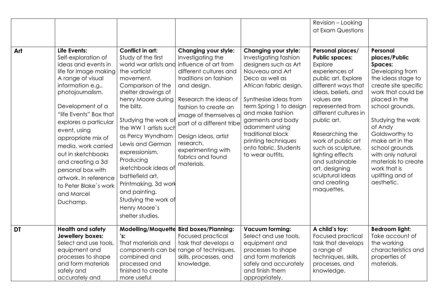| Art       | Life Events:<br>Self-exploration of                                                                                                                                                                                                                                          | Conflict in art:<br>Study of the first                                                                                                                                                                                                                                              | Changing your style:<br>Investigating the                                                                                                                                 | Changing your style:<br>Investigating fashion                                                                                                                                | Revision - Looking<br>at Exam Questions<br>Personal places/<br><b>Public spaces:</b>                                                                                                                                               | Personal<br>places/Public                                                                                                                                                                            |
|-----------|------------------------------------------------------------------------------------------------------------------------------------------------------------------------------------------------------------------------------------------------------------------------------|-------------------------------------------------------------------------------------------------------------------------------------------------------------------------------------------------------------------------------------------------------------------------------------|---------------------------------------------------------------------------------------------------------------------------------------------------------------------------|------------------------------------------------------------------------------------------------------------------------------------------------------------------------------|------------------------------------------------------------------------------------------------------------------------------------------------------------------------------------------------------------------------------------|------------------------------------------------------------------------------------------------------------------------------------------------------------------------------------------------------|
|           | ideas and events in<br>life for image making<br>A range of visual<br>information e.g.,<br>photojournalism.                                                                                                                                                                   | world war artists and<br>the vorticist<br>movement.<br>Comparison of the<br>shelter drawings of<br>henry Moore during                                                                                                                                                               | influence of art from<br>different cultures and<br>traditions on fashion<br>and design.<br>Research the ideas of                                                          | designers such as Art<br>Nouveau and Art<br>Deco as well as<br>African fabric design.<br>Synthesise ideas from                                                               | Explore<br>experiences of<br>public art. Explore<br>different ways that<br>ideas, beliefs, and<br>values are                                                                                                                       | <b>Spaces:</b><br>Developing from<br>the ideas stage to<br>create site specific<br>work that could be<br>placed in the                                                                               |
|           | Development of a<br>"life Events" Box that<br>explores a particular<br>event, using<br>appropriate mix of<br>media, work carried<br>out in sketchbooks<br>and creating a 3d<br>personal box with<br>artwork. In reference<br>to Peter Blake's work<br>and Marcel<br>Duchamp. | the blitz.<br>Studying the work of<br>the WW 1 artists such<br>as Percy Wyndham<br>Lewis and German<br>expressionism.<br>Producing<br>sketchbook ideas of<br>battlefield art.<br>Printmaking, 3d work<br>and painting.<br>Studying the work of<br>Henry Moore's<br>shelter studies. | fashion to create an<br>image of themselves as<br>part of a different tribe<br>Design ideas, artist<br>research,<br>experimenting with<br>fabrics and found<br>materials. | term Spring 1 to design<br>and make fashion<br>garments and body<br>adornment using<br>traditional block<br>printing techniques<br>onto fabric. Students<br>to wear outfits. | represented from<br>different cultures in<br>public art.<br>Researching the<br>work of public art<br>such as sculpture,<br>lighting effects<br>and sustainable<br>art. designing<br>sculptural ideas<br>and creating<br>maquettes. | school grounds.<br>Studying the work<br>of Andy<br>Goldsworthy to<br>make art in the<br>school grounds<br>with only natural<br>materials to create<br>work that is<br>uplifting and of<br>aesthetic. |
| <b>DT</b> | <b>Health and safety</b><br>Jewellery boxes:<br>Select and use tools,<br>equipment and<br>processes to shape<br>and form materials<br>safely and<br>accurately and                                                                                                           | 's:<br>That materials and<br>components can be<br>combined and<br>processed and<br>finished to create<br>more useful                                                                                                                                                                | Modelling/Moquette Bird boxes/Planning:<br>Focused practical<br>task that develops a<br>range of techniques,<br>skills, processes, and<br>knowledge.                      | <b>Vacuum forming:</b><br>Select and use tools,<br>equipment and<br>processes to shape<br>and form materials<br>safely and accurately<br>and finish them<br>appropriately.   | A child's toy:<br><b>Focused practical</b><br>task that develops<br>a range of<br>techniques, skills,<br>processes, and<br>knowledge.                                                                                              | <b>Bedroom light:</b><br>Take account of<br>the working<br>characteristics and<br>properties of<br>materials.                                                                                        |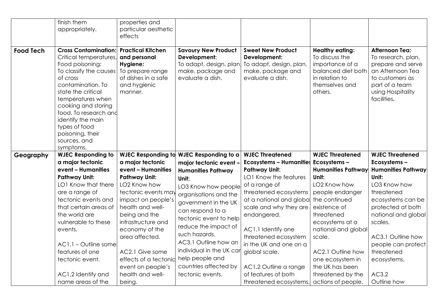|                  | finish them<br>appropriately.                                                                                                                                                                                                                                                                                         | properties and<br>particular aesthetic                                                                                                                                                                                                                                          |                                                                                                                                                                                                                                                                                          |                                                                                                                                                                                                                                                                                                         |                                                                                                                                                                                                                                                    |                                                                                                                                                                                                                 |
|------------------|-----------------------------------------------------------------------------------------------------------------------------------------------------------------------------------------------------------------------------------------------------------------------------------------------------------------------|---------------------------------------------------------------------------------------------------------------------------------------------------------------------------------------------------------------------------------------------------------------------------------|------------------------------------------------------------------------------------------------------------------------------------------------------------------------------------------------------------------------------------------------------------------------------------------|---------------------------------------------------------------------------------------------------------------------------------------------------------------------------------------------------------------------------------------------------------------------------------------------------------|----------------------------------------------------------------------------------------------------------------------------------------------------------------------------------------------------------------------------------------------------|-----------------------------------------------------------------------------------------------------------------------------------------------------------------------------------------------------------------|
|                  |                                                                                                                                                                                                                                                                                                                       | effects                                                                                                                                                                                                                                                                         |                                                                                                                                                                                                                                                                                          |                                                                                                                                                                                                                                                                                                         |                                                                                                                                                                                                                                                    |                                                                                                                                                                                                                 |
| <b>Food Tech</b> | <b>Cross Contamination:</b><br>Critical temperatures,<br>Food poisoning:<br>To classify the causes<br>of cross<br>contamination. To<br>state the critical<br>temperatures when<br>cooking and storing<br>food. To research and<br>identify the main<br>types of food<br>poisoning, their<br>sources, and<br>symptoms. | <b>Practical Kitchen</b><br>and personal<br>Hygiene:<br>To prepare range<br>of dishes in a safe<br>and hygienic<br>manner.                                                                                                                                                      | <b>Savoury New Product</b><br>Development:<br>To adapt, design, plan<br>make, package and<br>evaluate a dish.                                                                                                                                                                            | <b>Sweet New Product</b><br>Development:<br>To adapt, design, plan,<br>make, package and<br>evaluate a dish.                                                                                                                                                                                            | <b>Healthy eating:</b><br>To discuss the<br>importance of a<br>balanced diet both<br>in relation to<br>themselves and<br>others.                                                                                                                   | <b>Afternoon Tea:</b><br>To research, plan,<br>prepare and serve<br>an Afternoon Tea<br>to customers as<br>part of a team<br>using Hospitality<br>facilities.                                                   |
| Geography        | <b>WJEC Responding to</b>                                                                                                                                                                                                                                                                                             |                                                                                                                                                                                                                                                                                 | WJEC Responding to WJEC Responding to a                                                                                                                                                                                                                                                  | <b>WJEC Threatened</b>                                                                                                                                                                                                                                                                                  | <b>WJEC Threatened</b>                                                                                                                                                                                                                             | <b>WJEC Threatened</b>                                                                                                                                                                                          |
|                  | a major tectonic                                                                                                                                                                                                                                                                                                      | a major tectonic                                                                                                                                                                                                                                                                | major tectonic event -                                                                                                                                                                                                                                                                   | <b>Ecosystems - Humanities</b>                                                                                                                                                                                                                                                                          | Ecosystems-                                                                                                                                                                                                                                        | Ecosystems-                                                                                                                                                                                                     |
|                  | event - Humanities                                                                                                                                                                                                                                                                                                    | event - Humanities                                                                                                                                                                                                                                                              | <b>Humanities Pathway</b>                                                                                                                                                                                                                                                                | <b>Pathway Unit:</b>                                                                                                                                                                                                                                                                                    | <b>Humanities Pathway</b>                                                                                                                                                                                                                          | <b>Humanities Pathway</b>                                                                                                                                                                                       |
|                  | <b>Pathway Unit:</b><br>LO1 Know that there<br>are a range of<br>tectonic events and<br>that certain areas of<br>the world are<br>vulnerable to these<br>events.<br>AC1.1 - Outline some<br>features of one<br>tectonic event.<br>AC1.2 Identify and<br>name areas of the                                             | <b>Pathway Unit:</b><br>LO2 Know how<br>tectonic events may<br>impact on people's<br>health and well-<br>being and the<br>infrastructure and<br>economy of the<br>area affected.<br>AC2.1 Give some<br>effects of a tectonid<br>event on people's<br>health and well-<br>being. | Unit:<br>LO3 Know how people<br>organisations and the<br>government in the UK<br>can respond to a<br>tectonic event to help<br>reduce the impact of<br>such hazards.<br>AC3.1 Outline how an<br>individual in the UK car<br>help people and<br>countries affected by<br>tectonic events. | LO1 Know the features<br>of a range of<br>threatened ecosystems<br>at a national and global<br>scale and why they are<br>endangered.<br>AC1.1 Identify one<br>threatened ecosystem<br>in the UK and one on a<br>global scale.<br>AC1.2 Outline a range<br>of features of both<br>threatened ecosystems. | Unit:<br>LO2 Know how<br>people endanger<br>the continued<br>existence of<br>threatened<br>ecosystems at a<br>national and global<br>scale.<br>AC2.1 Outline how<br>one ecosystem in<br>the UK has been<br>threatened by the<br>actions of people. | Unit:<br>LO3 Know how<br>threatened<br>ecosystems can be<br>protected at both<br>national and global<br>scales.<br>AC3.1 Outline how<br>people can protect<br>threatened<br>ecosystems.<br>AC3.2<br>Outline how |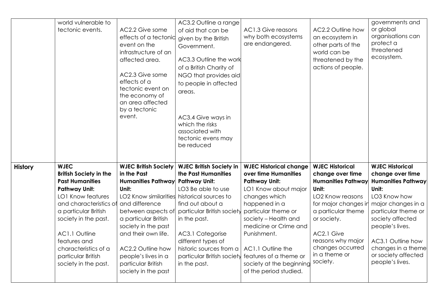|                | world vulnerable to<br>tectonic events.                                                                                                                                                                                                                                                                     | AC2.2 Give some<br>effects of a tectonid<br>event on the<br>infrastructure of an<br>affected area.<br>AC2.3 Give some<br>effects of a<br>tectonic event on<br>the economy of<br>an area affected<br>by a tectonic<br>event.                                                                                                            | AC3.2 Outline a range<br>of aid that can be<br>given by the British<br>Government.<br>AC3.3 Outline the work<br>of a British Charity of<br>NGO that provides aid<br>to people in affected<br>areas.<br>AC3.4 Give ways in                                                                | AC1.3 Give reasons<br>why both ecosystems<br>are endangered.                                                                                                                                                                                                                                                                        | AC2.2 Outline how<br>an ecosystem in<br>other parts of the<br>world can be<br>threatened by the<br>actions of people.                                                                                                                                             | governments and<br>or global<br>organisations can<br>protect a<br>threatened<br>ecosystem.                                                                                                                                                                                |
|----------------|-------------------------------------------------------------------------------------------------------------------------------------------------------------------------------------------------------------------------------------------------------------------------------------------------------------|----------------------------------------------------------------------------------------------------------------------------------------------------------------------------------------------------------------------------------------------------------------------------------------------------------------------------------------|------------------------------------------------------------------------------------------------------------------------------------------------------------------------------------------------------------------------------------------------------------------------------------------|-------------------------------------------------------------------------------------------------------------------------------------------------------------------------------------------------------------------------------------------------------------------------------------------------------------------------------------|-------------------------------------------------------------------------------------------------------------------------------------------------------------------------------------------------------------------------------------------------------------------|---------------------------------------------------------------------------------------------------------------------------------------------------------------------------------------------------------------------------------------------------------------------------|
|                |                                                                                                                                                                                                                                                                                                             |                                                                                                                                                                                                                                                                                                                                        | which the risks<br>associated with<br>tectonic evens may<br>be reduced                                                                                                                                                                                                                   |                                                                                                                                                                                                                                                                                                                                     |                                                                                                                                                                                                                                                                   |                                                                                                                                                                                                                                                                           |
| <b>History</b> | <b>WJEC</b><br><b>British Society in the</b><br><b>Past Humanities</b><br><b>Pathway Unit:</b><br><b>LO1 Know features</b><br>and characteristics of<br>a particular British<br>society in the past.<br>AC1.1 Outline<br>features and<br>characteristics of a<br>particular British<br>society in the past. | <b>WJEC British Society</b><br>in the Past<br><b>Humanities Pathway</b><br>Unit:<br>LO2 Know similarities historical sources to<br>and difference<br>between aspects of<br>a particular British<br>society in the past<br>and their own life.<br>AC2.2 Outline how<br>people's lives in a<br>particular British<br>society in the past | <b>WJEC British Society in</b><br>the Past Humanities<br><b>Pathway Unit:</b><br>LO3 Be able to use<br>find out about a<br>particular British society<br>in the past.<br>AC3.1 Categorise<br>different types of<br>historic sources from a<br>particular British society<br>in the past. | <b>WJEC Historical change</b><br>over time Humanities<br><b>Pathway Unit:</b><br>LO1 Know about major<br>changes which<br>happened in a<br>particular theme or<br>society - Health and<br>medicine or Crime and<br>Punishment.<br>AC1.1 Outline the<br>features of a theme or<br>society at the beginning<br>of the period studied. | <b>WJEC Historical</b><br>change over time<br><b>Humanities Pathway</b><br>Unit:<br>LO <sub>2</sub> Know reasons<br>for major changes in<br>a particular theme<br>or society.<br>AC2.1 Give<br>reasons why major<br>changes occurred<br>in a theme or<br>society. | <b>WJEC Historical</b><br>change over time<br><b>Humanities Pathway</b><br>Unit:<br>LO3 Know how<br>major changes in a<br>particular theme or<br>society affected<br>people's lives.<br>AC3.1 Outline how<br>changes in a theme<br>or society affected<br>people's lives. |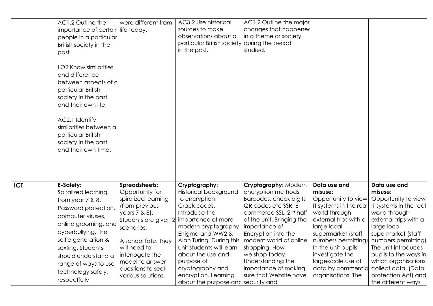|            | AC1.2 Outline the<br>importance of certair life today.<br>people in a particular<br>British society in the<br>past.<br><b>LO2 Know similarities</b><br>and difference<br>between aspects of d<br>particular British<br>society in the past<br>and their own life.<br>AC2.1 Identify<br>similarities between a<br>particular British<br>society in the past<br>and their own time. | were different from                   | AC3.2 Use historical<br>sources to make<br>observations about a<br>particular British society<br>in the past. | AC1.2 Outline the major<br>changes that happened<br>in a theme or society<br>during the period<br>studied. |                                        |                                              |
|------------|-----------------------------------------------------------------------------------------------------------------------------------------------------------------------------------------------------------------------------------------------------------------------------------------------------------------------------------------------------------------------------------|---------------------------------------|---------------------------------------------------------------------------------------------------------------|------------------------------------------------------------------------------------------------------------|----------------------------------------|----------------------------------------------|
| <b>ICT</b> | <b>E-Safety:</b><br>Spiralized learning                                                                                                                                                                                                                                                                                                                                           | Spreadsheets:<br>Opportunity for      | Cryptography:<br>Historical background                                                                        | Cryptography: Modern<br>encryption methods                                                                 | Data use and<br>misuse:                | Data use and<br>misuse:                      |
|            | from year 7 & 8.                                                                                                                                                                                                                                                                                                                                                                  | spiralized learning                   | to encryption.                                                                                                | Barcodes, check digits                                                                                     | Opportunity to view                    | Opportunity to view                          |
|            | Password protection,                                                                                                                                                                                                                                                                                                                                                              | (from previous                        | Crack codes.                                                                                                  | QR codes etc SSR, E-                                                                                       | IT systems in the real                 | IT systems in the real                       |
|            | computer viruses,                                                                                                                                                                                                                                                                                                                                                                 | years 7 & 8).<br>Students are given 2 | Introduce the<br>importance of more                                                                           | commerce SSL. 2 <sup>nd</sup> half<br>of the unit. Bringing the                                            | world through<br>external trips with a | world through<br>external trips with a       |
|            | online grooming, and                                                                                                                                                                                                                                                                                                                                                              | scenarios.                            | modern cryptography.                                                                                          | importance of                                                                                              | large local                            | large local                                  |
|            | cyberbullying. The                                                                                                                                                                                                                                                                                                                                                                |                                       | Enigma and WW2 &                                                                                              | Encryption into the                                                                                        | supermarket (staff                     | supermarket (staff                           |
|            | selfie generation &                                                                                                                                                                                                                                                                                                                                                               | A school fete. They                   | Alan Turing. During this                                                                                      | modern world of online                                                                                     | numbers permitting)                    | numbers permitting)                          |
|            | sexting. Students                                                                                                                                                                                                                                                                                                                                                                 | will need to<br>interrogate the       | unit students will learn<br>about the use and                                                                 | shopping. How<br>we shop today.                                                                            | In the unit pupils<br>investigate the  | The unit introduces<br>pupils to the ways in |
|            | should understand a                                                                                                                                                                                                                                                                                                                                                               | model to answer                       | purpose of                                                                                                    | Understanding the                                                                                          | large-scale use of                     | which organisations                          |
|            | range of ways to use                                                                                                                                                                                                                                                                                                                                                              | questions to seek                     | cryptography and                                                                                              | importance of making                                                                                       | data by commercia                      | collect data, (Data                          |
|            | technology safely,<br>respectfully                                                                                                                                                                                                                                                                                                                                                | various solutions.                    | encryption. Learning                                                                                          | sure that Website have                                                                                     | organisations. The                     | protection Act) and                          |
|            |                                                                                                                                                                                                                                                                                                                                                                                   |                                       | about the purpose and security and                                                                            |                                                                                                            |                                        | the different ways                           |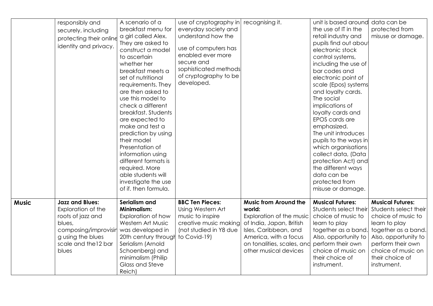|              | responsibly and<br>securely, including<br>protecting their online                                                                                                          | A scenario of a<br>breakfast menu for<br>a girl called Alex.                                                                                                                                                                                                                                                                                                                                                                                                    | use of cryptography in<br>everyday society and<br>understand how the                                                               | recognising it.                                                                                                                                                                                         | unit is based around<br>the use of IT in the<br>retail industry and                                                                                                                                                                                                                                                                                                                                                                                                 | data can be<br>protected from<br>misuse or damage.                                                                                                                                                                  |
|--------------|----------------------------------------------------------------------------------------------------------------------------------------------------------------------------|-----------------------------------------------------------------------------------------------------------------------------------------------------------------------------------------------------------------------------------------------------------------------------------------------------------------------------------------------------------------------------------------------------------------------------------------------------------------|------------------------------------------------------------------------------------------------------------------------------------|---------------------------------------------------------------------------------------------------------------------------------------------------------------------------------------------------------|---------------------------------------------------------------------------------------------------------------------------------------------------------------------------------------------------------------------------------------------------------------------------------------------------------------------------------------------------------------------------------------------------------------------------------------------------------------------|---------------------------------------------------------------------------------------------------------------------------------------------------------------------------------------------------------------------|
|              | identity and privacy.                                                                                                                                                      | They are asked to<br>construct a model<br>to ascertain<br>whether her<br>breakfast meets a<br>set of nutritional<br>requirements. They<br>are then asked to<br>use this model to<br>check a different<br>breakfast. Students<br>are expected to<br>make and test a<br>prediction by using<br>their model<br>Presentation of<br>information using<br>different formats is<br>required. More<br>able students will<br>investigate the use<br>of if. then formula. | use of computers has<br>enabled ever more<br>secure and<br>sophisticated methods<br>of cryptography to be<br>developed.            |                                                                                                                                                                                                         | pupils find out about<br>electronic stock<br>control systems,<br>including the use of<br>bar codes and<br>electronic point of<br>scale (Epos) systems<br>and loyalty cards.<br>The social<br>implications of<br>loyalty cards and<br>EPOS cards are<br>emphasized.<br>The unit introduces<br>pupils to the ways in<br>which organisations<br>collect data, (Data<br>protection Act) and<br>the different ways<br>data can be<br>protected from<br>misuse or damage. |                                                                                                                                                                                                                     |
| <b>Music</b> | <b>Jazz and Blues:</b><br>Exploration of the<br>roots of jazz and<br>blues,<br>composing/improvisir was developed in<br>g using the blues<br>scale and the 12 bar<br>blues | Serialism and<br><b>Minimalism:</b><br>Exploration of how<br>Western Art Music<br>20th century through<br>Serialism (Arnold<br>Schoenberg) and<br>minimalism (Philip<br>Glass and Steve<br>Reich)                                                                                                                                                                                                                                                               | <b>BBC Ten Pieces:</b><br>Using Western Art<br>music to inspire<br>creative music making<br>(not studied in Y8 due<br>to Covid-19) | <b>Music from Around the</b><br>world:<br>Exploration of the music<br>of India, Japan, British<br>Isles, Caribbean, and<br>America, with a focus<br>on tonalities, scales, and<br>other musical devices | <b>Musical Futures:</b><br>Students select their<br>choice of music to<br>learn to play<br>together as a band.<br>Also, opportunity to<br>perform their own<br>choice of music on<br>their choice of<br>instrument.                                                                                                                                                                                                                                                 | <b>Musical Futures:</b><br>Students select their<br>choice of music to<br>learn to play<br>together as a band.<br>Also, opportunity to<br>perform their own<br>choice of music on<br>their choice of<br>instrument. |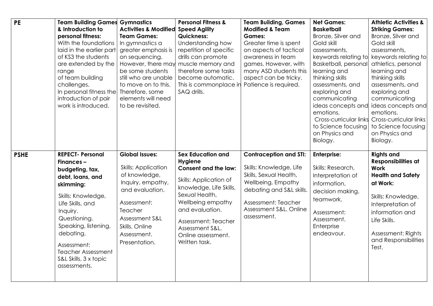| <b>PE</b>   | <b>Team Building Games Gymnastics</b><br>& Introduction to<br>personal fitness:<br>With the foundations<br>laid in the earlier part<br>of KS3 the students<br>are extended by the<br>range<br>of team building<br>challenges.<br>In personal fitness the<br>introduction of pair<br>work is introduced. | <b>Activities &amp; Modified</b><br><b>Team Games:</b><br>In gymnastics a<br>greater emphasis is<br>on sequencing.<br>However, there may<br>be some students<br>still who are unable<br>to move on to this.<br>Therefore, some<br>elements will need<br>to be revisited. | <b>Personal Fitness &amp;</b><br><b>Speed Agility</b><br><b>Quickness:</b><br>Understanding how<br>repetition of specific<br>drills can promote<br>muscle memory and<br>therefore some tasks<br>become automatic.<br>This is commonplace in<br>SAQ drills.                | <b>Team Building, Games</b><br><b>Modified &amp; Team</b><br><b>Games:</b><br>Greater time is spent<br>on aspects of tactical<br>awareness in team<br>games. However, with<br>many ASD students this<br>aspect can be tricky.<br>Patience is required. | <b>Net Games:</b><br><b>Basketball</b><br>Bronze, Silver and<br>Gold skill<br>assessments,<br>keywords relating to<br>Basketball, personal<br>learning and<br>thinking skills<br>assessments, and<br>exploring and<br>communicating<br>ideas concepts and<br>emotions.<br>to Science focusing<br>on Physics and<br>Biology. | <b>Athletic Activities &amp;</b><br><b>Striking Games:</b><br>Bronze, Silver and<br>Gold skill<br>assessments,<br>keywords relating to<br>athletics, personal<br>learning and<br>thinking skills<br>assessments, and<br>exploring and<br>communicating<br>ideas concepts and<br>emotions.<br>Cross-curricular links Cross-curricular links<br>to Science focusing<br>on Physics and<br>Biology. |
|-------------|---------------------------------------------------------------------------------------------------------------------------------------------------------------------------------------------------------------------------------------------------------------------------------------------------------|--------------------------------------------------------------------------------------------------------------------------------------------------------------------------------------------------------------------------------------------------------------------------|---------------------------------------------------------------------------------------------------------------------------------------------------------------------------------------------------------------------------------------------------------------------------|--------------------------------------------------------------------------------------------------------------------------------------------------------------------------------------------------------------------------------------------------------|-----------------------------------------------------------------------------------------------------------------------------------------------------------------------------------------------------------------------------------------------------------------------------------------------------------------------------|-------------------------------------------------------------------------------------------------------------------------------------------------------------------------------------------------------------------------------------------------------------------------------------------------------------------------------------------------------------------------------------------------|
| <b>PSHE</b> | <b>REPECT- Personal</b><br>Finances-<br>budgeting, tax,<br>debt, loans, and<br>skimming:<br>Skills: Knowledge,<br>Life Skills, and<br>Inquiry.<br>Questioning,<br>Speaking, listening,<br>debating.<br>Assessment:<br><b>Teacher Assessment</b><br>S&L Skills. 3 x topic<br>assessments.                | <b>Global Issues:</b><br><b>Skills: Application</b><br>of knowledge,<br>Inquiry, empathy,<br>and evaluation.<br>Assessment:<br>Teacher<br>Assessment S&L<br>Skills. Online<br>Assessment.<br>Presentation.                                                               | <b>Sex Education and</b><br><b>Hygiene</b><br><b>Consent and the law:</b><br>Skills: Application of<br>knowledge, Life Skills,<br>Sexual Health,<br>Wellbeing empathy<br>and evaluation.<br>Assessment: Teacher<br>Assessment S&L.<br>Online assessment.<br>Written task. | <b>Contraception and STI:</b><br>Skills: Knowledge, Life<br>Skills, Sexual Health,<br>Wellbeing, Empathy<br>debating and S&L skills.<br>Assessment: Teacher<br>Assessment S&L. Online<br>assessment.                                                   | <b>Enterprise:</b><br>Skills: Research,<br>Interpretation of<br>information,<br>decision making,<br>teamwork.<br>Assessment:<br>Assessment.<br>Enterprise<br>endeavour.                                                                                                                                                     | <b>Rights and</b><br>Responsibilities at<br><b>Work</b><br><b>Health and Safety</b><br>at Work:<br>Skills: Knowledge,<br>Interpretation of<br>information and<br>Life Skills.<br>Assessment: Rights<br>and Responsibilities<br>Test.                                                                                                                                                            |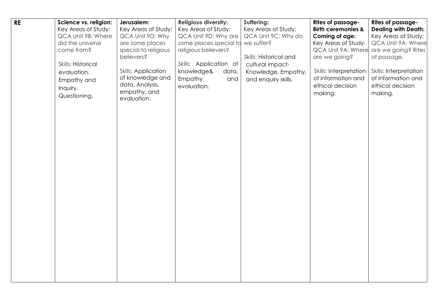| <b>RE</b> | Science vs. religion: | Jerusalem:                 | <b>Religious diversity:</b> | Suffering:             | <b>Rites of passage-</b>      | Rites of passage-          |
|-----------|-----------------------|----------------------------|-----------------------------|------------------------|-------------------------------|----------------------------|
|           | Key Areas of Study:   | Key Areas of Study:        | Key Areas of Study:         | Key Areas of Study:    | <b>Birth ceremonies &amp;</b> | <b>Dealing with Death:</b> |
|           | QCA Unit 9B: Where    | QCA Unit 9D: Why           | QCA Unit 9D: Why are        | QCA Unit 9C: Why do    | Coming of age:                | Key Areas of Study:        |
|           | did the universe      | are some places            | some places special to      | we suffer?             | Key Areas of Study:           | QCA Unit 9A: Where         |
|           | come from?            | special to religious       | religious believers?        |                        | QCA Unit 9A: Where            | are we going? Rites        |
|           |                       | believers?                 |                             | Skills: Historical and | are we going?                 | of passage.                |
|           | Skills: Historical    |                            | Skills: Application of      | cultural impact-       |                               |                            |
|           | evaluation.           | <b>Skills: Application</b> | knowledge&<br>data.         | Knowledge, Empathy,    | <b>Skills: Interpretation</b> | Skills: Interpretation     |
|           | Empathy and           | of knowledge and           | Empathy<br>and              | and enquiry skills.    | of information and            | of information and         |
|           | Inquiry.              | data. Analysis,            | evaluation.                 |                        | ethical decision              | ethical decision           |
|           |                       | empathy, and               |                             |                        | making.                       | making.                    |
|           | Questioning.          | evaluation.                |                             |                        |                               |                            |
|           |                       |                            |                             |                        |                               |                            |
|           |                       |                            |                             |                        |                               |                            |
|           |                       |                            |                             |                        |                               |                            |
|           |                       |                            |                             |                        |                               |                            |
|           |                       |                            |                             |                        |                               |                            |
|           |                       |                            |                             |                        |                               |                            |
|           |                       |                            |                             |                        |                               |                            |
|           |                       |                            |                             |                        |                               |                            |
|           |                       |                            |                             |                        |                               |                            |
|           |                       |                            |                             |                        |                               |                            |
|           |                       |                            |                             |                        |                               |                            |
|           |                       |                            |                             |                        |                               |                            |
|           |                       |                            |                             |                        |                               |                            |
|           |                       |                            |                             |                        |                               |                            |
|           |                       |                            |                             |                        |                               |                            |
|           |                       |                            |                             |                        |                               |                            |
|           |                       |                            |                             |                        |                               |                            |
|           |                       |                            |                             |                        |                               |                            |
|           |                       |                            |                             |                        |                               |                            |
|           |                       |                            |                             |                        |                               |                            |
|           |                       |                            |                             |                        |                               |                            |
|           |                       |                            |                             |                        |                               |                            |
|           |                       |                            |                             |                        |                               |                            |
|           |                       |                            |                             |                        |                               |                            |
|           |                       |                            |                             |                        |                               |                            |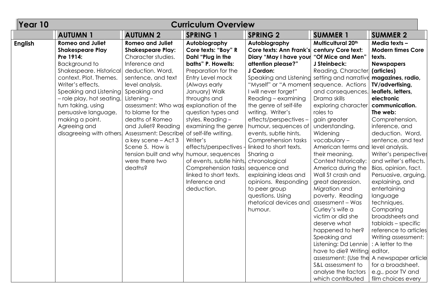| Year 10        | <b>Curriculum Overview</b>                                                                                                                                                                                                                                                                                                     |                                                                                                                                                                                                                                                                                                                                                                                                                          |                                                                                                                                                                                                                                                                                                                                                                                                                                               |                                                                                                                                                                                                                                                                                                                                                                                                                                                                                                                                                           |                                                                                                                                                                                                                                                                                                                                                                                                                                                                                                                                                                                                                              |                                                                                                                                                                                                                                                                                                                                                                                                                                                                                                                                                                                                                                                             |  |  |
|----------------|--------------------------------------------------------------------------------------------------------------------------------------------------------------------------------------------------------------------------------------------------------------------------------------------------------------------------------|--------------------------------------------------------------------------------------------------------------------------------------------------------------------------------------------------------------------------------------------------------------------------------------------------------------------------------------------------------------------------------------------------------------------------|-----------------------------------------------------------------------------------------------------------------------------------------------------------------------------------------------------------------------------------------------------------------------------------------------------------------------------------------------------------------------------------------------------------------------------------------------|-----------------------------------------------------------------------------------------------------------------------------------------------------------------------------------------------------------------------------------------------------------------------------------------------------------------------------------------------------------------------------------------------------------------------------------------------------------------------------------------------------------------------------------------------------------|------------------------------------------------------------------------------------------------------------------------------------------------------------------------------------------------------------------------------------------------------------------------------------------------------------------------------------------------------------------------------------------------------------------------------------------------------------------------------------------------------------------------------------------------------------------------------------------------------------------------------|-------------------------------------------------------------------------------------------------------------------------------------------------------------------------------------------------------------------------------------------------------------------------------------------------------------------------------------------------------------------------------------------------------------------------------------------------------------------------------------------------------------------------------------------------------------------------------------------------------------------------------------------------------------|--|--|
|                | <b>AUTUMN1</b>                                                                                                                                                                                                                                                                                                                 | <b>AUTUMN 2</b>                                                                                                                                                                                                                                                                                                                                                                                                          | <b>SPRING 1</b>                                                                                                                                                                                                                                                                                                                                                                                                                               | <b>SPRING 2</b>                                                                                                                                                                                                                                                                                                                                                                                                                                                                                                                                           | <b>SUMMER 1</b>                                                                                                                                                                                                                                                                                                                                                                                                                                                                                                                                                                                                              | <b>SUMMER 2</b>                                                                                                                                                                                                                                                                                                                                                                                                                                                                                                                                                                                                                                             |  |  |
| <b>English</b> | <b>Romeo and Juliet</b><br><b>Shakespeare Play</b><br>Pre 1914:<br>Background to<br>Shakespeare. Historical<br>context. Plot. Themes.<br>Writer's effects.<br>Speaking and Listening<br>- role play, hot seating,<br>turn taking, using<br>persuasive language,<br>making a point.<br>Agreeing and<br>disagreeing with others. | <b>Romeo and Juliet</b><br><b>Shakespeare Play:</b><br>Character studies.<br>Inference and<br>deduction. Word,<br>sentence, and text<br>level analysis.<br>Speaking and<br>Listening $-$<br>assessment: Who was explanation of the<br>to blame for the<br>deaths of Romeo<br>and Juliet? Reading<br>Assessment: Describe<br>a key scene – Act 3<br>Scene 5. How is<br>tension built and why<br>were there two<br>deaths? | Autobiography<br>Core texts: "Boy" R<br>Dahl "Plug in the<br>baths" P. Howells:<br>Preparation for the<br>Entry Level mock<br>(Always early<br>January) Walk<br>throughs and<br>question types and<br>styles. Reading -<br>examining the genre<br>of self-life writing.<br>Writer's<br>effects/perspectives-<br>humour, sequences<br>of events, subtle hints,<br>Comprehension tasks<br>linked to short texts.<br>Inference and<br>deduction. | Autobiography<br>Core texts: Ann Frank's<br>Diary "May I have your<br>attention please?"<br>J Cordon:<br>Speaking and Listening<br>"Myself" or "A moment<br>I will never forget"<br>Reading - examining<br>the genre of self-life<br>writing. Writer's<br>effects/perspectives-<br>humour, sequences of<br>events, subtle hints,<br>Comprehension tasks<br>linked to short texts.<br>Sharing a<br>chronological<br>sequence and<br>explaining ideas and<br>opinions. Responding<br>to peer group<br>questions. Using<br>rhetorical devices and<br>humour. | Multicultural 20th<br>century Core text:<br>"Of Mice and Men"<br>J Steinbeck:<br>Reading, Character<br>setting and narrative<br>sequence. Actions<br>and consequences.<br>Drama skills<br>exploring character<br>roles to<br>gain greater<br>understanding.<br>Widening<br>vocabulary-<br>American terms and<br>their meaning.<br>Context historically:<br>America during the<br>Wall St crash and<br>great depression.<br>Migration and<br>poverty. Reading<br>assessment – Was<br>Curley's wife a<br>victim or did she<br>deserve what<br>happened to her?<br>Speaking and<br>Listening: Dd Lennie<br>have to die? Writing | Media texts -<br><b>Modern times Core</b><br>texts.<br><b>Newspapers</b><br>(articles)<br>magazines, radio,<br><b>TV/advertising,</b><br>leaflets, letters,<br>electronic<br>communication.<br>The web:<br>Comprehension,<br>inference, and<br>deduction. Word,<br>sentence, and text<br>level analysis.<br>Writer's perspectives<br>and writer's effects.<br>Bias, opinion, fact.<br>Persuasive, arguing,<br>explaining, and<br>entertaining<br>language<br>techniques.<br>Comparing<br>broadsheets and<br>tabloids - specific<br>reference to articles<br>Writing assessment:<br>: A letter to the<br>editor,<br>assessment: (Use the A newspaper article |  |  |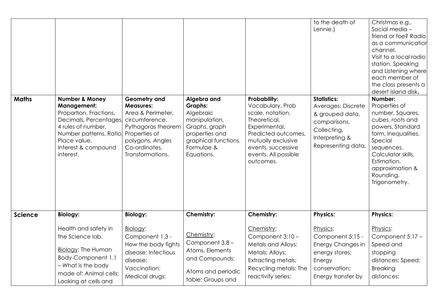| <b>Maths</b>   | <b>Number &amp; Money</b><br><b>Management:</b><br>Proportion, Fractions,<br>Decimals, Percentages,<br>4 rules of number,<br>Number patterns, Ratio,<br>Place value,<br>Interest & compound<br>interest. | Geometry and<br><b>Measures:</b><br>Area & Perimeter,<br>circumference.<br>Pythagoras theorem<br>Properties of<br>polygons. Angles<br>Co-ordinates,<br>Transformations. | Algebra and<br><b>Graphs:</b><br>Algebraic<br>manipulation,<br>Graphs, graph<br>properties and<br>graphical functions.<br>Formulae &<br>Equations. | <b>Probability:</b><br>Vocabulary, Prob<br>scale, notation,<br>Theoretical,<br>Experimental,<br>Predicted outcomes,<br>mutually exclusive<br>events, successive<br>events, All possible<br>outcomes. | to the death of<br>Lennie.)<br><b>Statistics:</b><br>Averages: Discrete<br>& grouped data,<br>comparisons.<br>Collecting,<br>Interpreting &<br>Representing data | Christmas e.g.,<br>Social media -<br>friend or foe? Radio<br>as a communication<br>channel.<br>Visit to a local radio<br>station. Speaking<br>and Listening where<br>each member of<br>the class presents a<br>desert island disk.<br>Number:<br>Properties of<br>number, Squares,<br>cubes, roots and<br>powers, Standard<br>form, Inequalities,<br>Special<br>sequences,<br>Calculator skills,<br>Estimation,<br>approximation &<br>Rounding.<br>Trigonometry. |
|----------------|----------------------------------------------------------------------------------------------------------------------------------------------------------------------------------------------------------|-------------------------------------------------------------------------------------------------------------------------------------------------------------------------|----------------------------------------------------------------------------------------------------------------------------------------------------|------------------------------------------------------------------------------------------------------------------------------------------------------------------------------------------------------|------------------------------------------------------------------------------------------------------------------------------------------------------------------|------------------------------------------------------------------------------------------------------------------------------------------------------------------------------------------------------------------------------------------------------------------------------------------------------------------------------------------------------------------------------------------------------------------------------------------------------------------|
| <b>Science</b> | <b>Biology:</b>                                                                                                                                                                                          | <b>Biology:</b>                                                                                                                                                         | Chemistry:                                                                                                                                         | <b>Chemistry:</b>                                                                                                                                                                                    | <b>Physics:</b>                                                                                                                                                  | <b>Physics:</b>                                                                                                                                                                                                                                                                                                                                                                                                                                                  |
|                | Health and safety in<br>the Science lab.<br><b>Biology: The Human</b><br>Body-Component 1.1<br>- What is the body<br>made of: Animal cells;<br>Looking at cells and                                      | Biology:<br>Component 1.3 -<br>How the body fights<br>disease: Infectious<br>disease;<br>Vaccination;<br>Medical drugs;                                                 | Chemistry:<br>Component 3.8 -<br>Atoms, Elements<br>and Compounds:<br>Atoms and periodic<br>table; Groups and                                      | Chemistry:<br>Component 3:10 -<br>Metals and Alloys:<br>Metals; Alloys;<br><b>Extracting metals;</b><br>Recycling metals; The<br>reactivity series;                                                  | Physics:<br>Component 5:15 -<br>Energy Changes in<br>energy stores;<br>Energy<br>conservation;<br>Energy transfer by                                             | Physics:<br>Component 5:17 -<br>Speed and<br>stopping<br>distances: Speed;<br><b>Breaking</b><br>distances;                                                                                                                                                                                                                                                                                                                                                      |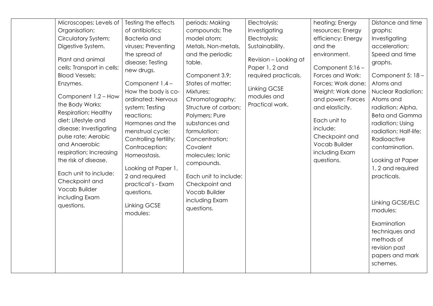|                                                                                                                                                                                                             | Microscopes; Levels of                                                                                                                                                                | Testing the effects                                                                                                                                                                                                                                                                                                                                           | periods; Making                                                                                                                                                                                                                                                                                                                           | Electrolysis;                                                                                                     | heating; Energy                                                                                                                                                                                                                        | Distance and time                                                                                                                                                                                                                                                                                                                                                                                                        |
|-------------------------------------------------------------------------------------------------------------------------------------------------------------------------------------------------------------|---------------------------------------------------------------------------------------------------------------------------------------------------------------------------------------|---------------------------------------------------------------------------------------------------------------------------------------------------------------------------------------------------------------------------------------------------------------------------------------------------------------------------------------------------------------|-------------------------------------------------------------------------------------------------------------------------------------------------------------------------------------------------------------------------------------------------------------------------------------------------------------------------------------------|-------------------------------------------------------------------------------------------------------------------|----------------------------------------------------------------------------------------------------------------------------------------------------------------------------------------------------------------------------------------|--------------------------------------------------------------------------------------------------------------------------------------------------------------------------------------------------------------------------------------------------------------------------------------------------------------------------------------------------------------------------------------------------------------------------|
| Organisation;                                                                                                                                                                                               |                                                                                                                                                                                       | of antibiotics;                                                                                                                                                                                                                                                                                                                                               | compounds; The                                                                                                                                                                                                                                                                                                                            | Investigating                                                                                                     | resources; Energy                                                                                                                                                                                                                      | graphs;                                                                                                                                                                                                                                                                                                                                                                                                                  |
|                                                                                                                                                                                                             | Circulatory System;                                                                                                                                                                   | <b>Bacteria</b> and                                                                                                                                                                                                                                                                                                                                           | model atom;                                                                                                                                                                                                                                                                                                                               | Electrolysis;                                                                                                     | efficiency; Energy                                                                                                                                                                                                                     | Investigating                                                                                                                                                                                                                                                                                                                                                                                                            |
| Digestive System.                                                                                                                                                                                           |                                                                                                                                                                                       | viruses; Preventing                                                                                                                                                                                                                                                                                                                                           | Metals, Non-metals,                                                                                                                                                                                                                                                                                                                       | Sustainability.                                                                                                   | and the                                                                                                                                                                                                                                | acceleration;                                                                                                                                                                                                                                                                                                                                                                                                            |
| Plant and animal<br><b>Blood Vessels;</b><br>Enzymes.<br>the Body Works:<br>diet; Lifestyle and<br>and Anaerobic<br>the risk of disease.<br>Checkpoint and<br>Vocab Builder<br>including Exam<br>questions. | cells; Transport in cells;<br>Component 1.2 - How<br><b>Respiration; Healthy</b><br>disease; Investigating<br>pulse rate; Aerobic<br>respiration; Increasing<br>Each unit to include: | the spread of<br>disease; Testing<br>new drugs.<br>Component 1.4 -<br>How the body is co-<br>ordinated: Nervous<br>system; Testing<br>reactions;<br>Hormones and the<br>menstrual cycle;<br>Controlling fertility;<br>Contraception;<br>Homeostasis.<br>Looking at Paper 1,<br>2 and required<br>practical's - Exam<br>questions.<br>Linking GCSE<br>modules: | and the periodic<br>table.<br>Component 3.9;<br>States of matter;<br>Mixtures;<br>Chromatography;<br>Structure of carbon;<br>Polymers; Pure<br>substances and<br>formulation;<br>Concentration;<br>Covalent<br>molecules; Ionic<br>compounds.<br>Each unit to include:<br>Checkpoint and<br>Vocab Builder<br>including Exam<br>questions. | Revision - Looking at<br>Paper 1, 2 and<br>required practicals.<br>Linking GCSE<br>modules and<br>Practical work. | environment.<br>Component 5:16 -<br>Forces and Work:<br>Forces; Work done;<br>Weight; Work done<br>and power; Forces<br>and elasticity.<br>Each unit to<br>include:<br>Checkpoint and<br>Vocab Builder<br>including Exam<br>questions. | Speed and time<br>graphs.<br>Component 5: 18 -<br>Atoms and<br><b>Nuclear Radiation:</b><br>Atoms and<br>radiation; Alpha,<br><b>Beta and Gamma</b><br>radiation; Using<br>radiation; Half-life;<br>Radioactive<br>contamination.<br>Looking at Paper<br>1, 2 and required<br>practicals.<br>Linking GCSE/ELC<br>modules:<br>Examination<br>techniques and<br>methods of<br>revision past<br>papers and mark<br>schemes. |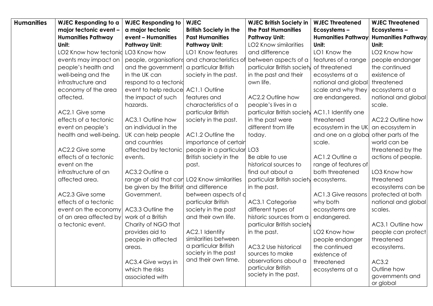| <b>Humanities</b> | <b>WJEC Responding to a</b>        | <b>WJEC Responding to</b>                   | <b>WJEC</b>                                  | <b>WJEC British Society in</b>             | <b>WJEC Threatened</b>    | <b>WJEC Threatened</b>    |
|-------------------|------------------------------------|---------------------------------------------|----------------------------------------------|--------------------------------------------|---------------------------|---------------------------|
|                   | major tectonic event -             | a major tectonic                            | <b>British Society in the</b>                | the Past Humanities                        | Ecosystems-               | Ecosystems-               |
|                   | <b>Humanities Pathway</b>          | event - Humanities                          | <b>Past Humanities</b>                       | <b>Pathway Unit:</b>                       | <b>Humanities Pathway</b> | <b>Humanities Pathway</b> |
|                   | Unit:                              | <b>Pathway Unit:</b>                        | <b>Pathway Unit:</b>                         | <b>LO2 Know similarities</b>               | Unit:                     | Unit:                     |
|                   | LO2 Know how tectonid LO3 Know how |                                             | LO1 Know features                            | and difference                             | LO1 Know the              | LO2 Know how              |
|                   | events may impact on               |                                             | people, organisations and characteristics of | between aspects of a                       | features of a range       | people endanger           |
|                   | people's health and                | and the government   a particular British   |                                              | particular British society                 | of threatened             | the continued             |
|                   | well-being and the                 | in the UK can                               | society in the past.                         | in the past and their                      | ecosystems at a           | existence of              |
|                   | infrastructure and                 | respond to a tectonid                       |                                              | own life.                                  | national and global       | threatened                |
|                   | economy of the area                | event to help reduce AC1.1 Outline          |                                              |                                            | scale and why they        | ecosystems at a           |
|                   | affected.                          | the impact of such                          | features and                                 | AC2.2 Outline how                          | are endangered.           | national and global       |
|                   |                                    | hazards.                                    | characteristics of a                         | people's lives in a                        |                           | scale.                    |
|                   | AC2.1 Give some                    |                                             | particular British                           | particular British society                 | AC1.1 Identify one        |                           |
|                   | effects of a tectonic              | AC3.1 Outline how                           | society in the past.                         | in the past were                           | threatened                | AC2.2 Outline how         |
|                   | event on people's                  | an individual in the                        |                                              | different from life                        | ecosystem in the UK       | an ecosystem in           |
|                   | health and well-being.             | UK can help people                          | AC1.2 Outline the                            | today.                                     | and one on a globa        | other parts of the        |
|                   |                                    | and countries                               | importance of certair                        |                                            | scale.                    | world can be              |
|                   | AC2.2 Give some                    | affected by tectonic                        | people in a particular                       | LO <sub>3</sub>                            |                           | threatened by the         |
|                   | effects of a tectonic              | events.                                     | British society in the                       | Be able to use                             | AC1.2 Outline a           | actions of people.        |
|                   | event on the                       |                                             | past.                                        | historical sources to                      | range of features of      |                           |
|                   | infrastructure of an               | AC3.2 Outline a                             |                                              | find out about a                           | both threatened           | LO3 Know how              |
|                   | affected area.                     | range of aid that car LO2 Know similarities |                                              | particular British society ecosystems.     |                           | threatened                |
|                   |                                    | be given by the British                     | and difference                               | in the past.                               |                           | ecosystems can be         |
|                   | AC2.3 Give some                    | Government.                                 | between aspects of c                         |                                            | AC1.3 Give reasons        | protected at both         |
|                   | effects of a tectonic              |                                             | particular British                           | AC3.1 Categorise                           | why both                  | national and global       |
|                   | event on the economy               | AC3.3 Outline the                           | society in the past                          | different types of                         | ecosystems are            | scales.                   |
|                   | of an area affected by             | work of a British                           | and their own life.                          | historic sources from a                    | endangered.               |                           |
|                   | a tectonic event.                  | Charity of NGO that                         |                                              | particular British society                 |                           | AC3.1 Outline how         |
|                   |                                    | provides aid to                             | AC2.1 Identify                               | in the past.                               | LO2 Know how              | people can protect        |
|                   |                                    | people in affected                          | similarities between                         |                                            | people endanger           | threatened                |
|                   |                                    | areas.                                      | a particular British                         | AC3.2 Use historical                       | the continued             | ecosystems.               |
|                   |                                    |                                             | society in the past<br>and their own time.   | sources to make                            | existence of              |                           |
|                   |                                    | AC3.4 Give ways in                          |                                              | observations about a                       | threatened                | AC3.2                     |
|                   |                                    | which the risks                             |                                              | particular British<br>society in the past. | ecosystems at a           | Outline how               |
|                   |                                    | associated with                             |                                              |                                            |                           | governments and           |
|                   |                                    |                                             |                                              |                                            |                           | or global                 |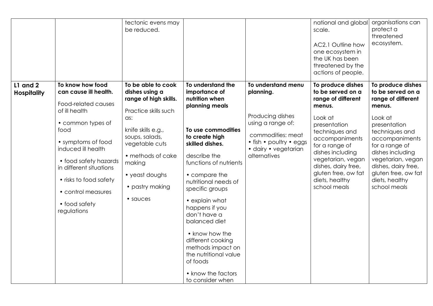|                                |                                                                                                                                                                                                                                                                                                | tectonic evens may<br>be reduced.                                                                                                                                                                                                      |                                                                                                                                                                                                                                                                                                                                                                                                               |                                                                                                                                                                                          | national and global<br>scale.<br>AC2.1 Outline how<br>one ecosystem in<br>the UK has been<br>threatened by the<br>actions of people.                                                                                                                                             | organisations can<br>protect a<br>threatened<br>ecosystem.                                                                                                                                                                                                                       |
|--------------------------------|------------------------------------------------------------------------------------------------------------------------------------------------------------------------------------------------------------------------------------------------------------------------------------------------|----------------------------------------------------------------------------------------------------------------------------------------------------------------------------------------------------------------------------------------|---------------------------------------------------------------------------------------------------------------------------------------------------------------------------------------------------------------------------------------------------------------------------------------------------------------------------------------------------------------------------------------------------------------|------------------------------------------------------------------------------------------------------------------------------------------------------------------------------------------|----------------------------------------------------------------------------------------------------------------------------------------------------------------------------------------------------------------------------------------------------------------------------------|----------------------------------------------------------------------------------------------------------------------------------------------------------------------------------------------------------------------------------------------------------------------------------|
| L1 and 2<br><b>Hospitality</b> | To know how food<br>can cause ill health.<br>Food-related causes<br>of ill health<br>• common types of<br>food<br>• symptoms of food<br>induced ill health<br>• food safety hazards<br>in different situations<br>• risks to food safety<br>• control measures<br>• food safety<br>regulations | To be able to cook<br>dishes using a<br>range of high skills.<br>Practice skills such<br>as:<br>knife skills e.g.,<br>soups, salads,<br>vegetable cuts<br>• methods of cake<br>making<br>• yeast doughs<br>• pastry making<br>• sauces | To understand the<br>importance of<br>nutrition when<br>planning meals<br>To use commodities<br>to create high<br>skilled dishes.<br>describe the<br>functions of nutrients<br>• compare the<br>nutritional needs of<br>specific groups<br>• explain what<br>happens if you<br>don't have a<br>balanced diet<br>• know how the<br>different cooking<br>methods impact on<br>the nutritional value<br>of foods | To understand menu<br>planning.<br>Producing dishes<br>using a range of:<br>commodities: meat<br>$\bullet$ fish $\bullet$ poultry $\bullet$ eggs<br>· dairy • vegetarian<br>alternatives | To produce dishes<br>to be served on a<br>range of different<br>menus.<br>Look at<br>presentation<br>techniques and<br>accompaniments<br>for a range of<br>dishes including<br>vegetarian, vegan<br>dishes, dairy free,<br>gluten free, ow fat<br>diets, healthy<br>school meals | To produce dishes<br>to be served on a<br>range of different<br>menus.<br>Look at<br>presentation<br>techniques and<br>accompaniments<br>for a range of<br>dishes including<br>vegetarian, vegan<br>dishes, dairy free,<br>gluten free, ow fat<br>diets, healthy<br>school meals |
|                                |                                                                                                                                                                                                                                                                                                |                                                                                                                                                                                                                                        | • know the factors<br>to consider when                                                                                                                                                                                                                                                                                                                                                                        |                                                                                                                                                                                          |                                                                                                                                                                                                                                                                                  |                                                                                                                                                                                                                                                                                  |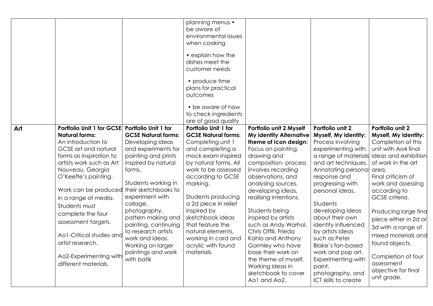|     |                                                                                                                                                                                                                                                                                                                                                                                                                                         |                                                                                                                                                                                                                                                                                                                                                                              | planning menus •<br>be aware of<br>environmental issues<br>when cooking<br>• explain how the<br>dishes meet the<br>customer needs<br>• produce time<br>plans for practical<br>outcomes<br>• be aware of how<br>to check ingredients<br>are of good quality                                                                                                                              |                                                                                                                                                                                                                                                                                                                                                                                                                                                                                                          |                                                                                                                                                                                                                                                                                                                                                                                                                                                                                          |                                                                                                                                                                                                                                                                                                                                                                                              |
|-----|-----------------------------------------------------------------------------------------------------------------------------------------------------------------------------------------------------------------------------------------------------------------------------------------------------------------------------------------------------------------------------------------------------------------------------------------|------------------------------------------------------------------------------------------------------------------------------------------------------------------------------------------------------------------------------------------------------------------------------------------------------------------------------------------------------------------------------|-----------------------------------------------------------------------------------------------------------------------------------------------------------------------------------------------------------------------------------------------------------------------------------------------------------------------------------------------------------------------------------------|----------------------------------------------------------------------------------------------------------------------------------------------------------------------------------------------------------------------------------------------------------------------------------------------------------------------------------------------------------------------------------------------------------------------------------------------------------------------------------------------------------|------------------------------------------------------------------------------------------------------------------------------------------------------------------------------------------------------------------------------------------------------------------------------------------------------------------------------------------------------------------------------------------------------------------------------------------------------------------------------------------|----------------------------------------------------------------------------------------------------------------------------------------------------------------------------------------------------------------------------------------------------------------------------------------------------------------------------------------------------------------------------------------------|
| Art | Portfolio Unit 1 for GCSE Portfolio Unit 1 for<br><b>Natural forms:</b><br>An introduction to<br>GCSE art and natural<br>forms as inspiration to<br>artists work such as Art<br>Nouveau, Georgia<br>O'Keeffe's painting.<br>Work can be produced<br>in a range of media.<br>Students must<br>complete the four<br>assessment targets.<br>Ao1-Critical studies and<br>artist research.<br>Ao2-Experimenting with<br>different materials. | <b>GCSE Natural forms:</b><br>Developing ideas<br>and experiments for<br>painting and prints<br>inspired by natural<br>forms.<br>Students working in<br>their sketchbooks to<br>experiment with<br>collage,<br>photography,<br>pattern making and<br>painting. continuing<br>to research artists<br>work and ideas.<br>Working on larger<br>paintings and work<br>with batik | Portfolio Unit 1 for<br><b>GCSE Natural forms:</b><br>Completing unit 1<br>and completing a<br>mock exam inspired<br>by natural forms. All<br>work to be assessed<br>according to GCSE<br>marking.<br>Students producing<br>a 2d piece in relief<br>inspired by<br>sketchbook ideas<br>that feature the<br>natural elements,<br>working in card and<br>acrylic with found<br>materials. | Portfolio unit 2 Myself<br><b>My identity Alternative</b><br>theme of Icon design:<br>Focus on painting,<br>drawing and<br>composition-process<br>involves recording<br>observations, and<br>analysing sources,<br>developing ideas,<br>realising intentions.<br>Students being<br>inspired by artists<br>such as Andy Warhol,<br>Chris Offili, Frieda<br>Kahlo and Anthony<br>Gormley who have<br>base their work on<br>the theme of myself.<br>Working ideas in<br>sketchbook to cover<br>Ao1 and Ao2. | Portfolio unit 2<br>Myself, My identity:<br>Process involving<br>experimenting with<br>a range of materials ideas and exhibition<br>and art techniques.<br>Annotating personal<br>response and<br>progressing with<br>personal ideas.<br><b>Students</b><br>developing ideas<br>about their own<br>identity influenced<br>by artists ideas<br>such as Peter<br>Blake's fan-based<br>work and pop art.<br><b>Experimenting with</b><br>paint,<br>photography, and<br>ICT skills to create | Portfolio unit 2<br>Myself, My identity:<br>Completion of this<br>unit with Ao4 final<br>of work in the art<br>area.<br>Final criticism of<br>work and assessing<br>according to<br>GCSE criteria.<br>Producing large find<br>piece either in 2d or<br>3d with a range of<br>mixed materials and<br>found objects.<br>Completion of four<br>assessment<br>objective for final<br>unit grade. |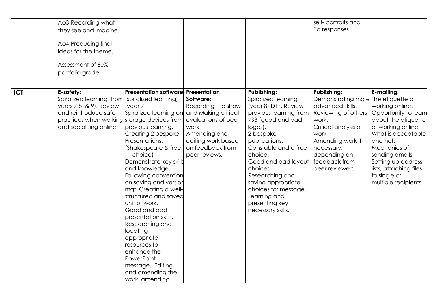|            | Ao3-Recording what<br>they see and imagine.<br>Ao4-Producing final<br>ideas for the theme.<br>Assessment of 60%<br>portfolio grade.            |                                                                                                                                                                                                                                                                                                                                                                                                                                                                                                                                                                                                           |                                                                                                                                            |                                                                                                                                                                                                                                                                                                                                                         | self-portraits and<br>3d responses.                                                                                                                                                                                |                                                                                                                                                                                                                                                                                    |
|------------|------------------------------------------------------------------------------------------------------------------------------------------------|-----------------------------------------------------------------------------------------------------------------------------------------------------------------------------------------------------------------------------------------------------------------------------------------------------------------------------------------------------------------------------------------------------------------------------------------------------------------------------------------------------------------------------------------------------------------------------------------------------------|--------------------------------------------------------------------------------------------------------------------------------------------|---------------------------------------------------------------------------------------------------------------------------------------------------------------------------------------------------------------------------------------------------------------------------------------------------------------------------------------------------------|--------------------------------------------------------------------------------------------------------------------------------------------------------------------------------------------------------------------|------------------------------------------------------------------------------------------------------------------------------------------------------------------------------------------------------------------------------------------------------------------------------------|
| <b>ICT</b> | E-safety:<br>Spiralized learning (from<br>years 7,8, & 9). Review<br>and reintroduce safe<br>practices when working<br>and socialising online. | Presentation software Presentation<br>(spiralized learning)<br>(year 7)<br>Spiralized learning on and Making critical<br>storage devices from<br>previous learning.<br>Creating 2 bespoke<br>Presentations.<br>(Shakespeare & free<br>choice)<br>Demonstrate key skills<br>and knowledge.<br>Following convention<br>on saving and versior<br>mgt. Creating a well-<br>structured and saved<br>unit of work.<br>Good and bad<br>presentation skills.<br>Researching and<br>locating<br>appropriate<br>resources to<br>enhance the<br>PowerPoint<br>message. Editing<br>and amending the<br>work. amending | Software:<br>Recording the show<br>evaluations of peer<br>work.<br>Amending and<br>editing work based<br>on feedback from<br>peer reviews. | <b>Publishing:</b><br>Spiralized learning<br>(year 8) DTP. Review<br>previous learning from<br>KS3 (good and bad<br>logos).<br>2 bespoke<br>publications.<br>Constable and a free<br>choice.<br>Good and bad layout<br>choices.<br>Researching and<br>saving appropriate<br>choices for message.<br>Learning and<br>presenting key<br>necessary skills. | <b>Publishing:</b><br>Demonstrating more<br>advanced skills.<br>Reviewing of others<br>work.<br>Critical analysis of<br>work<br>Amending work if<br>necessary,<br>depending on<br>feedback from<br>peer reviewers. | E-mailing:<br>The etiquette of<br>working online.<br>Opportunity to learn<br>about the etiquette<br>of working online.<br>What is acceptable<br>and not.<br>Mechanics of<br>sending emails.<br>Setting up address<br>lists, attaching files<br>to single or<br>multiple recipients |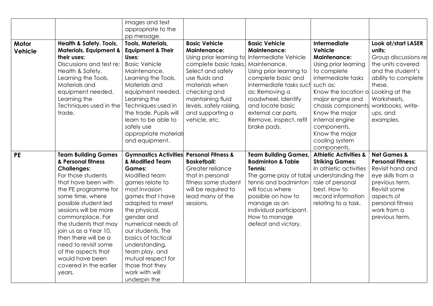|                |                                              | images and text                                     |                         |                                         |                                  |                          |
|----------------|----------------------------------------------|-----------------------------------------------------|-------------------------|-----------------------------------------|----------------------------------|--------------------------|
|                |                                              | appropriate to the                                  |                         |                                         |                                  |                          |
|                |                                              | pp message.                                         |                         |                                         |                                  |                          |
| Motor          | <b>Health &amp; Safety. Tools,</b>           | Tools, Materials,                                   | <b>Basic Vehicle</b>    | <b>Basic Vehicle</b>                    | Intermediate                     | Look at/start LASER      |
| <b>Vehicle</b> | <b>Materials, Equipment &amp;</b>            | <b>Equipment &amp; Their</b>                        | <b>Maintenance:</b>     | <b>Maintenance:</b>                     | <b>Vehicle</b>                   | units:                   |
|                | their uses:                                  | Uses:                                               | Using prior learning to | Intermediate Vehicle                    | <b>Maintenance:</b>              | Group discussions re     |
|                | Discussions and test re:                     | <b>Basic Vehicle</b>                                | complete basic tasks.   | Maintenance.                            | Using prior learning             | the units covered        |
|                | Health & Safety.                             | Maintenance.                                        | Select and safely       | Using prior learning to                 | to complete                      | and the student's        |
|                | Learning the Tools,                          | Learning the Tools,                                 | use fluids and          | complete basic and                      | intermediate tasks               | ability to complete      |
|                | Materials and                                | Materials and                                       | materials when          | intermediate tasks sucl                 | such as:                         | these.                   |
|                | equipment needed.                            | equipment needed.                                   | checking and            | as: Removing a                          | Know the location of             | Looking at the           |
|                | Learning the                                 | Learning the                                        | maintaining fluid       | roadwheel. Identify                     | major engine and                 | Worksheets,              |
|                | Techniques used in the                       | Techniques used in                                  | levels, safely raising, | and locate basic                        | chassis components               | workbooks, write-        |
|                | trade.                                       | the trade. Pupils will                              | and supporting a        | external car parts.                     | Know the major                   | ups, and                 |
|                |                                              | learn to be able to                                 | vehicle, etc.           | Remove, inspect, refit                  | internal engine                  | examples.                |
|                |                                              | safely use                                          |                         | brake pads.                             | components.                      |                          |
|                |                                              | appropriate materials                               |                         |                                         | Know the major                   |                          |
|                |                                              | and equipment.                                      |                         |                                         | cooling system                   |                          |
|                |                                              |                                                     |                         |                                         | components.                      |                          |
|                |                                              |                                                     |                         |                                         |                                  |                          |
|                |                                              |                                                     |                         |                                         |                                  | <b>Net Games &amp;</b>   |
| <b>PE</b>      | <b>Team Building Games</b>                   | <b>Gymnastics Activities Personal Fitness &amp;</b> |                         | <b>Team Building Games,</b>             | <b>Athletic Activities &amp;</b> |                          |
|                | & Personal fitness                           | & Modified Team<br><b>Games:</b>                    | <b>Basketball:</b>      | <b>Badminton &amp; Table</b><br>Tennis: | <b>Striking Games:</b>           | <b>Personal Fitness:</b> |
|                | <b>Challenges:</b>                           |                                                     | Greater reliance        |                                         | In athletic activities           | Revisit hand and         |
|                | For those students                           | Modified team                                       | that in personal        | The game play of table                  | understanding the                | eye skills from a        |
|                | that have been with                          | games relate to                                     | fitness some student    | tennis and badminton                    | role of personal                 | previous term.           |
|                | the PE programme for                         | most invasion                                       | will be required to     | will focus where                        | best. How to                     | Revisit some             |
|                | some time, where                             | games that I have                                   | lead many of the        | possible on how to                      | record information               | aspects of               |
|                | possible student led                         | adapted to meet                                     | sessions.               | manage as an                            | relating to a task.              | personal fitness         |
|                | sessions will be more                        | the physical,                                       |                         | individual participant.                 |                                  | work from a              |
|                | commonplace. For                             | gender and                                          |                         | How to manage                           |                                  | previous term.           |
|                | the students that may                        | numerical needs of                                  |                         | defeat and victory.                     |                                  |                          |
|                | join us as a Year 10,                        | our students. The                                   |                         |                                         |                                  |                          |
|                | then there will be a<br>need to revisit some | basics of tactical                                  |                         |                                         |                                  |                          |
|                |                                              | understanding,                                      |                         |                                         |                                  |                          |
|                | of the aspects that<br>would have been       | team play, and                                      |                         |                                         |                                  |                          |
|                |                                              | mutual respect for                                  |                         |                                         |                                  |                          |
|                | covered in the earlier<br>years.             | those that they<br>work with will                   |                         |                                         |                                  |                          |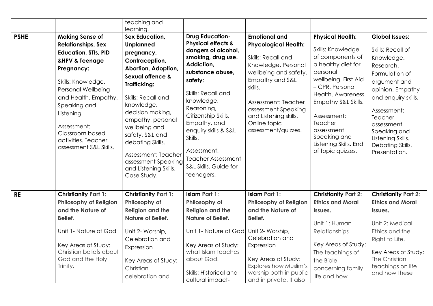|             |                                                                                                                                                                                                                                                                                                                       | teaching and<br>learning.                                                                                                                                                                                                                                                                                                                                                  |                                                                                                                                                                                                                                                                                                                                                                  |                                                                                                                                                                                                                                                                       |                                                                                                                                                                                                                                                                                                  |                                                                                                                                                                                                                                                                      |
|-------------|-----------------------------------------------------------------------------------------------------------------------------------------------------------------------------------------------------------------------------------------------------------------------------------------------------------------------|----------------------------------------------------------------------------------------------------------------------------------------------------------------------------------------------------------------------------------------------------------------------------------------------------------------------------------------------------------------------------|------------------------------------------------------------------------------------------------------------------------------------------------------------------------------------------------------------------------------------------------------------------------------------------------------------------------------------------------------------------|-----------------------------------------------------------------------------------------------------------------------------------------------------------------------------------------------------------------------------------------------------------------------|--------------------------------------------------------------------------------------------------------------------------------------------------------------------------------------------------------------------------------------------------------------------------------------------------|----------------------------------------------------------------------------------------------------------------------------------------------------------------------------------------------------------------------------------------------------------------------|
| <b>PSHE</b> | <b>Making Sense of</b><br><b>Relationships, Sex</b><br><b>Education, STIs, PID</b><br><b>&amp;HPV &amp; Teenage</b><br>Pregnancy:<br>Skills: Knowledge.<br>Personal Wellbeing<br>and Health. Empathy.<br>Speaking and<br>Listening<br>Assessment:<br>Classroom based<br>activities. Teacher<br>assessment S&L Skills. | Sex Education,<br><b>Unplanned</b><br>pregnancy,<br>Contraception,<br>Abortion, Adoption,<br><b>Sexual offence &amp;</b><br><b>Trafficking:</b><br>Skills: Recall and<br>knowledge,<br>decision making,<br>empathy, personal<br>wellbeing and<br>safety, S&L and<br>debating Skills.<br>Assessment: Teacher<br>assessment Speaking<br>and Listening Skills.<br>Case Study. | <b>Drug Education-</b><br><b>Physical effects &amp;</b><br>dangers of alcohol,<br>smoking, drug use.<br>Addiction,<br>substance abuse,<br>safety:<br>Skills: Recall and<br>knowledge,<br>Reasoning,<br>Citizenship Skills,<br>Empathy, and<br>enquiry skills & S&L<br>Skills.<br>Assessment:<br><b>Teacher Assessment</b><br>S&L Skills. Guide for<br>teenagers. | <b>Emotional and</b><br><b>Phycological Health:</b><br>Skills: Recall and<br>Knowledge. Personal<br>wellbeing and safety.<br>Empathy and S&L<br>skills.<br>Assessment: Teacher<br>assessment Speaking<br>and Listening skills.<br>Online topic<br>assessment/quizzes. | <b>Physical Health:</b><br>Skills: Knowledge<br>of components of<br>a healthy diet for<br>personal<br>wellbeing. First Aid<br>- CPR. Personal<br>Health. Awareness.<br>Empathy S&L Skills.<br>Assessment:<br>Teacher<br>assessment<br>Speaking and<br>Listening Skills. End<br>of topic quizzes. | <b>Global Issues:</b><br>Skills: Recall of<br>Knowledge.<br>Research.<br>Formulation of<br>argument and<br>opinion. Empathy<br>and enquiry skills.<br>Assessment:<br>Teacher<br>assessment<br>Speaking and<br>Listening Skills.<br>Debating Skills.<br>Presentation. |
| <b>RE</b>   | <b>Christianity Part 1:</b><br><b>Philosophy of Religion</b><br>and the Nature of<br>Belief.                                                                                                                                                                                                                          | <b>Christianity Part 1:</b><br>Philosophy of<br><b>Religion and the</b><br><b>Nature of Belief.</b>                                                                                                                                                                                                                                                                        | <b>Islam Part 1:</b><br>Philosophy of<br><b>Religion and the</b><br><b>Nature of Belief.</b>                                                                                                                                                                                                                                                                     | <b>Islam Part 1:</b><br><b>Philosophy of Religion</b><br>and the Nature of<br>Belief.                                                                                                                                                                                 | <b>Christianity Part 2:</b><br><b>Ethics and Moral</b><br>Issues.<br>Unit 1: Human                                                                                                                                                                                                               | <b>Christianity Part 2:</b><br><b>Ethics and Moral</b><br>Issues.<br>Unit 2: Medical                                                                                                                                                                                 |
|             | Unit 1- Nature of God<br>Key Areas of Study:<br>Christian beliefs about<br>God and the Holy<br>Trinity.                                                                                                                                                                                                               | Unit 2- Worship,<br>Celebration and<br>Expression<br>Key Areas of Study:<br>Christian<br>celebration and                                                                                                                                                                                                                                                                   | Unit 1- Nature of God<br>Key Areas of Study:<br>what Islam teaches<br>about God.<br>Skills: Historical and<br>cultural impact-                                                                                                                                                                                                                                   | Unit 2- Worship,<br>Celebration and<br>Expression<br>Key Areas of Study:<br><b>Explores how Muslim's</b><br>worship both in public<br>and in private. It also                                                                                                         | Relationships<br>Key Areas of Study:<br>The teachings of<br>the Bible<br>concerning family<br>life and how                                                                                                                                                                                       | Ethics and the<br>Right to Life.<br>Key Areas of Study:<br>The Christian<br>teachings on life<br>and how these                                                                                                                                                       |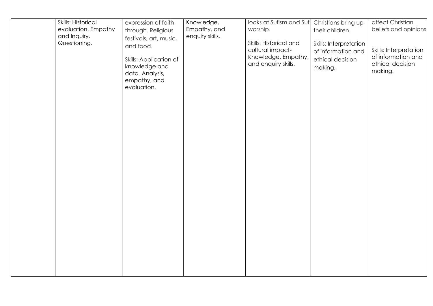| Skills: Historical                                  | expression of faith                                                                                                                                    | Knowledge,                      | looks at Sufism and Sufi Christians bring up<br>worship.                                 |                                                                                                | affect Christian<br>beliefs and opinions                                           |
|-----------------------------------------------------|--------------------------------------------------------------------------------------------------------------------------------------------------------|---------------------------------|------------------------------------------------------------------------------------------|------------------------------------------------------------------------------------------------|------------------------------------------------------------------------------------|
| evaluation. Empathy<br>and Inquiry.<br>Questioning. | through. Religious<br>festivals, art, music,<br>and food.<br>Skills: Application of<br>knowledge and<br>data. Analysis,<br>empathy, and<br>evaluation. | Empathy, and<br>enquiry skills. | Skills: Historical and<br>cultural impact-<br>Knowledge, Empathy,<br>and enquiry skills. | their children.<br>Skills: Interpretation<br>of information and<br>ethical decision<br>making. | <b>Skills: Interpretation</b><br>of information and<br>ethical decision<br>making. |
|                                                     |                                                                                                                                                        |                                 |                                                                                          |                                                                                                |                                                                                    |
|                                                     |                                                                                                                                                        |                                 |                                                                                          |                                                                                                |                                                                                    |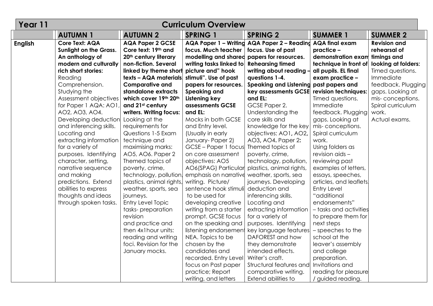| Year 11        | <b>Curriculum Overview</b>    |                                              |                                            |                                                            |                         |                     |  |  |
|----------------|-------------------------------|----------------------------------------------|--------------------------------------------|------------------------------------------------------------|-------------------------|---------------------|--|--|
|                | <b>AUTUMN1</b>                | <b>AUTUMN 2</b>                              | <b>SPRING 1</b>                            | <b>SPRING 2</b>                                            | <b>SUMMER 1</b>         | <b>SUMMER 2</b>     |  |  |
| <b>English</b> | <b>Core Text: AQA</b>         | <b>AQA Paper 2 GCSE</b>                      |                                            | AQA Paper 1 - Writing AQA Paper 2 - Reading AQA final exam |                         | <b>Revision and</b> |  |  |
|                | <b>Sunlight on the Grass.</b> | Core text: 19th and                          | focus. Much teacher                        | focus. Use of past                                         | practice -              | rehearsal of        |  |  |
|                | An anthology of               | 20 <sup>th</sup> century literary            | modelling and shared papers for resources. |                                                            | demonstration exam      | timings and         |  |  |
|                | modern and culturally         | non-fiction. Several                         | writing tasks linked to                    | <b>Rehearsing timed</b>                                    | technique in front of   | looking at folders: |  |  |
|                | rich short stories:           | linked by theme short picture and" hook      |                                            | writing about reading -                                    | all pupils. EL final    | Timed questions.    |  |  |
|                | Reading                       | texts - AQA materials, stimuli". Use of past |                                            | questions 1-4.                                             | exam practice -         | Immediate           |  |  |
|                | Comprehension.                | <b>Comparative and</b>                       | papers for resources.                      | Speaking and Listening past papers and                     |                         | feedback. Plugging  |  |  |
|                | Studying the                  | standalone extracts                          | <b>Speaking and</b>                        | key assessments GCSE                                       | revision techniques:    | gaps. Looking at    |  |  |
|                | Assessment objectives         | which cover 19th 20th                        | Listening key                              | and EL:                                                    | Timed questions.        | mis-conceptions.    |  |  |
|                | for Paper 1 AQA: AO1,         | and 21 <sup>st</sup> century                 | assessments GCSE                           | GCSE Paper 2.                                              | Immediate               | Spiral curriculum   |  |  |
|                | AO2, AO3, AO4.                | writers. Writing focus:                      | and EL:                                    | Understanding the                                          | feedback. Plugging      | work.               |  |  |
|                | Developing deduction          | Looking at the                               | Mocks in both GCSE                         | core skills and                                            | gaps. Looking at        | Actual exams.       |  |  |
|                | and inferencing skills.       | requirements for                             | and Entry level.                           | knowledge for the key                                      | mis-conceptions.        |                     |  |  |
|                | Locating and                  | Questions 1-5 Exam                           | (Usually in early                          | objectives: AO1, AO2,                                      | Spiral curriculum       |                     |  |  |
|                | extracting information        | technique and                                | January-Paper 2)                           | AO3, AO4. Paper 2:                                         | work.                   |                     |  |  |
|                | for a variety of              | maximising marks:                            | GCSE – Paper 1 focus                       | Themed topics of                                           | Using folders as        |                     |  |  |
|                | purposes. Identifying         | AO5, AO6. Paper 2                            | on core assessment                         | poverty, crime,                                            | revision aids -         |                     |  |  |
|                | character, setting,           | Themed topics of                             | objectives: AO5                            | technology, pollution,                                     | reviewing past          |                     |  |  |
|                | narrative sequence            | poverty, crime,                              | AO6(SPAG) Particular                       | plastics, animal rights,                                   | examples of letters,    |                     |  |  |
|                | and making                    | technology, pollution                        | emphasis on narrative                      | weather, sports, sea                                       | essays, speeches,       |                     |  |  |
|                | predictions. Extend           | plastics, animal rights,                     | writing. Picture/                          | journeys. Developing                                       | articles, and leaflets. |                     |  |  |
|                | abilities to express          | weather, sports, sea                         | sentence hook stimuli                      | deduction and                                              | <b>Entry Level</b>      |                     |  |  |
|                | thoughts and ideas            | journeys.                                    | to be used for                             | inferencing skills.                                        | "additional             |                     |  |  |
|                | through spoken tasks.         | Entry Level Topic                            | developing creative                        | Locating and                                               | endorsements"           |                     |  |  |
|                |                               | tasks-preparation                            | writing from a starter                     | extracting information                                     | - tasks and activities  |                     |  |  |
|                |                               | revision                                     | prompt. GCSE focus                         | for a variety of                                           | to prepare them for     |                     |  |  |
|                |                               | and practice and                             | on the speaking and                        | purposes. Identifying                                      | next steps              |                     |  |  |
|                |                               | then 4x1 hour units:                         | listening endorsement                      | key language features                                      | - speeches to the       |                     |  |  |
|                |                               | reading and writing                          | NEA. Topics to be                          | DAFOREST and how                                           | school at the           |                     |  |  |
|                |                               | foci. Revision for the                       | chosen by the                              | they demonstrate                                           | leaver's assembly       |                     |  |  |
|                |                               | January mocks.                               | candidates and                             | intended effects.                                          | and college             |                     |  |  |
|                |                               |                                              | recorded. Entry Level                      | Writer's craft.                                            | preparation.            |                     |  |  |
|                |                               |                                              | focus on Past paper                        | Structural features and                                    | Invitations and         |                     |  |  |
|                |                               |                                              | practice; Report                           | comparative writing.                                       | reading for pleasure    |                     |  |  |
|                |                               |                                              | writing, and letters                       | Extend abilities to                                        | / guided reading.       |                     |  |  |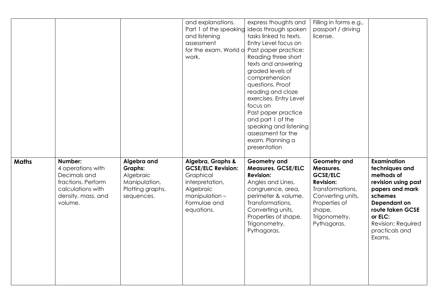|              |                                                                                                                          |                                                                                               | and explanations.<br>Part 1 of the speaking<br>and listening<br>assessment<br>for the exam. World o<br>work.                                  | express thoughts and<br>ideas through spoken<br>tasks linked to texts.<br>Entry Level focus on<br>Past paper practice;<br>Reading three short<br>texts and answering<br>graded levels of<br>comprehension<br>questions. Proof<br>reading and cloze<br>exercises. Entry Level<br>focus on<br>Past paper practice<br>and part 1 of the<br>speaking and listening<br>assessment for the<br>exam. Planning a<br>presentation | Filling in forms e.g.,<br>passport / driving<br>license.                                                                                                                    |                                                                                                                                                                                                   |
|--------------|--------------------------------------------------------------------------------------------------------------------------|-----------------------------------------------------------------------------------------------|-----------------------------------------------------------------------------------------------------------------------------------------------|--------------------------------------------------------------------------------------------------------------------------------------------------------------------------------------------------------------------------------------------------------------------------------------------------------------------------------------------------------------------------------------------------------------------------|-----------------------------------------------------------------------------------------------------------------------------------------------------------------------------|---------------------------------------------------------------------------------------------------------------------------------------------------------------------------------------------------|
| <b>Maths</b> | Number:<br>4 operations with<br>Decimals and<br>fractions. Perform<br>calculations with<br>density, mass, and<br>volume. | Algebra and<br><b>Graphs:</b><br>Algebraic<br>Manipulation,<br>Plotting graphs,<br>sequences. | Algebra, Graphs &<br><b>GCSE/ELC Revision:</b><br>Graphical<br>interpretation,<br>Algebraic<br>$manipulation -$<br>Formulae and<br>equations. | Geometry and<br><b>Measures. GCSE/ELC</b><br><b>Revision:</b><br>Angles and Lines,<br>congruence, area,<br>perimeter & volume.<br>Transformations,<br>Converting units,<br>Properties of shape,<br>Trigonometry,<br>Pythagoras.                                                                                                                                                                                          | <b>Geometry and</b><br>Measures.<br><b>GCSE/ELC</b><br><b>Revision:</b><br>Transformations,<br>Converting units,<br>Properties of<br>shape,<br>Trigonometry,<br>Pythagoras. | Examination<br>techniques and<br>methods of<br>revision using past<br>papers and mark<br>schemes<br>Dependant on<br>route taken GCSE<br>or ELC:<br>Revision; Required<br>practicals and<br>Exams. |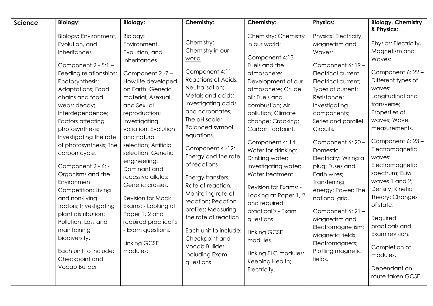| <b>Science</b> | <b>Biology:</b>                                                                                                                                                                                                                                                                                                                                                                                                                                                                                                                                                                                | <b>Biology:</b>                                                                                                                                                                                                                                                                                                                                                                                                                                                                                            | Chemistry:                                                                                                                                                                                                                                                                                                                                                                                                                                                                                                                           | Chemistry:                                                                                                                                                                                                                                                                                                                                                                                                                                                                                                                                    | <b>Physics:</b>                                                                                                                                                                                                                                                                                                                                                                                                                                                                                                    | <b>Biology, Chemistry</b><br>& Physics:                                                                                                                                                                                                                                                                                                                                                                                                                                |
|----------------|------------------------------------------------------------------------------------------------------------------------------------------------------------------------------------------------------------------------------------------------------------------------------------------------------------------------------------------------------------------------------------------------------------------------------------------------------------------------------------------------------------------------------------------------------------------------------------------------|------------------------------------------------------------------------------------------------------------------------------------------------------------------------------------------------------------------------------------------------------------------------------------------------------------------------------------------------------------------------------------------------------------------------------------------------------------------------------------------------------------|--------------------------------------------------------------------------------------------------------------------------------------------------------------------------------------------------------------------------------------------------------------------------------------------------------------------------------------------------------------------------------------------------------------------------------------------------------------------------------------------------------------------------------------|-----------------------------------------------------------------------------------------------------------------------------------------------------------------------------------------------------------------------------------------------------------------------------------------------------------------------------------------------------------------------------------------------------------------------------------------------------------------------------------------------------------------------------------------------|--------------------------------------------------------------------------------------------------------------------------------------------------------------------------------------------------------------------------------------------------------------------------------------------------------------------------------------------------------------------------------------------------------------------------------------------------------------------------------------------------------------------|------------------------------------------------------------------------------------------------------------------------------------------------------------------------------------------------------------------------------------------------------------------------------------------------------------------------------------------------------------------------------------------------------------------------------------------------------------------------|
|                | Biology: Environment,<br>Evolution, and<br>Inheritances<br>Component $2 - 5:1 -$<br>Feeding relationships;<br>Photosynthesis;<br>Adaptations; Food<br>chains and food<br>webs; decay;<br>Interdependence;<br>Factors affecting<br>photosynthesis;<br>Investigating the rate<br>of photosynthesis; The<br>carbon cycle.<br>Component 2 - 6: -<br>Organisms and the<br>Environment:<br>Competition; Living<br>and non-living<br>factors; Investigating<br>plant distribution;<br>Pollution; Loss and<br>maintaining<br>biodiversity.<br>Each unit to include:<br>Checkpoint and<br>Vocab Builder | Biology:<br>Environment,<br>Evolution, and<br><b>Inheritances</b><br>Component 2-7-<br>How life developed<br>on Earth: Genetic<br>material; Asexual<br>and Sexual<br>reproduction;<br>Investigating<br>variation; Evolution<br>and natural<br>selection; Artificial<br>selection; Genetic<br>engineering;<br>Dominant and<br>recessive alleles;<br>Genetic crosses.<br>Revision for Mock<br>Exams: - Looking at<br>Paper 1, 2 and<br>required practical's<br>- Exam questions.<br>Linking GCSE<br>modules: | Chemistry:<br>Chemistry in our<br>world<br>Component 4:11<br><b>Reactions of Acids:</b><br>Neutralisation;<br>Metals and acids;<br>Investigating acids<br>and carbonates;<br>The pH scale;<br><b>Balanced symbol</b><br>equations.<br>Component 4-12:<br>Energy and the rate<br>of reactions<br>Energy transfers;<br>Rate of reaction;<br>Monitoring rate of<br>reaction; Reaction<br>profiles; Measuring<br>the rate of reaction.<br>Each unit to include:<br>Checkpoint and<br><b>Vocab Builder</b><br>including Exam<br>questions | Chemistry: Chemistry<br>in our world:<br>Component 4:13<br>Fuels and the<br>atmosphere:<br>Development of our<br>atmosphere; Crude<br>oil; Fuels and<br>combustion; Air<br>pollution; Climate<br>change; Cracking;<br>Carbon footprint.<br>Component 4: 14<br>Water for drinking:<br>Drinking water;<br>Investigating water;<br>Water treatment.<br>Revision for Exams: -<br>Looking at Paper 1, 2<br>and required<br>practical's - Exam<br>questions.<br>Linking GCSE<br>modules.<br>Linking ELC modules:<br>Keeping Health;<br>Electricity. | Physics: Electricity,<br>Magnetism and<br>Waves:<br>Component 6: 19 -<br>Electrical current.<br>Electrical current;<br>Types of current;<br>Resistance;<br>Investigating<br>components;<br>Series and parallel<br>Circuits.<br>Component 6: 20 -<br>Domestic<br>Electricity: Wiring a<br>plug; Fuses and<br>Earth wires;<br>Transferring<br>energy; Power; The<br>national grid.<br>Component 6: 21 -<br>Magnetism and<br>Electromagnetism:<br>Magnetic fields;<br>Electromagnets;<br>Plotting magnetic<br>fields. | Physics: Electricity,<br>Magnetism and<br>Waves:<br>Component 6: 22 -<br>Different types of<br>waves:<br>Longitudinal and<br>transverse;<br>Properties of<br>waves; Wave<br>measurements.<br>Component 6: 23 -<br>Electromagnetic<br>waves:<br>Electromagnetic<br>spectrum; ELM<br>waves 1 and 2;<br>Density; Kinetic<br>Theory; Changes<br>of state.<br>Required<br>practicals and<br>Exam revision.<br>Completion of<br>modules.<br>Dependant on<br>route taken GCSE |
|                |                                                                                                                                                                                                                                                                                                                                                                                                                                                                                                                                                                                                |                                                                                                                                                                                                                                                                                                                                                                                                                                                                                                            |                                                                                                                                                                                                                                                                                                                                                                                                                                                                                                                                      |                                                                                                                                                                                                                                                                                                                                                                                                                                                                                                                                               |                                                                                                                                                                                                                                                                                                                                                                                                                                                                                                                    |                                                                                                                                                                                                                                                                                                                                                                                                                                                                        |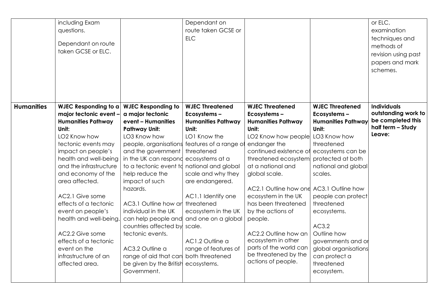|                   | including Exam<br>questions.<br>Dependant on route<br>taken GCSE or ELC. |                                           | Dependant on<br>route taken GCSE or<br><b>ELC</b> |                                          |                           | or ELC,<br>examination<br>techniques and<br>methods of<br>revision using past<br>papers and mark |
|-------------------|--------------------------------------------------------------------------|-------------------------------------------|---------------------------------------------------|------------------------------------------|---------------------------|--------------------------------------------------------------------------------------------------|
|                   |                                                                          |                                           |                                                   | <b>WJEC Threatened</b>                   | <b>WJEC Threatened</b>    | schemes.<br><b>Individuals</b>                                                                   |
| <b>Humanities</b> | WJEC Responding to a                                                     | <b>WJEC Responding to</b>                 | <b>WJEC Threatened</b><br>Ecosystems-             |                                          | Ecosystems-               | outstanding work to                                                                              |
|                   | major tectonic event -<br><b>Humanities Pathway</b>                      | a major tectonic<br>event - Humanities    | <b>Humanities Pathway</b>                         | Ecosystems-<br><b>Humanities Pathway</b> | <b>Humanities Pathway</b> | be completed this                                                                                |
|                   | Unit:                                                                    | <b>Pathway Unit:</b>                      | Unit:                                             | Unit:                                    | Unit:                     | half term - Study                                                                                |
|                   | LO2 Know how                                                             | LO3 Know how                              | LO1 Know the                                      | LO2 Know how people                      | LO3 Know how              | Leave:                                                                                           |
|                   | tectonic events may                                                      |                                           | people, organisations features of a range of      | endanger the                             | threatened                |                                                                                                  |
|                   | impact on people's                                                       | and the government                        | threatened                                        | continued existence of                   | ecosystems can be         |                                                                                                  |
|                   | health and well-being                                                    | in the UK can respond ecosystems at a     |                                                   | threatened ecosystem                     | protected at both         |                                                                                                  |
|                   | and the infrastructure                                                   | to a tectonic event td                    | national and global                               | at a national and                        | national and global       |                                                                                                  |
|                   | and economy of the                                                       | help reduce the                           | scale and why they                                | global scale.                            | scales.                   |                                                                                                  |
|                   | area affected.                                                           | impact of such                            | are endangered.                                   |                                          |                           |                                                                                                  |
|                   |                                                                          | hazards.                                  |                                                   | AC2.1 Outline how one                    | AC3.1 Outline how         |                                                                                                  |
|                   | AC2.1 Give some                                                          |                                           | AC1.1 Identify one                                | ecosystem in the UK                      | people can protect        |                                                                                                  |
|                   | effects of a tectonic                                                    | AC3.1 Outline how ar                      | threatened                                        | has been threatened                      | threatened                |                                                                                                  |
|                   | event on people's                                                        | individual in the UK                      | ecosystem in the UK                               | by the actions of                        | ecosystems.               |                                                                                                  |
|                   | health and well-being                                                    | can help people and                       | and one on a global                               | people.                                  | AC3.2                     |                                                                                                  |
|                   | AC2.2 Give some                                                          | countries affected by<br>tectonic events. | scale.                                            | AC2.2 Outline how an                     | Outline how               |                                                                                                  |
|                   | effects of a tectonic                                                    |                                           | AC1.2 Outline a                                   | ecosystem in other                       | governments and or        |                                                                                                  |
|                   | event on the                                                             | AC3.2 Outline a                           | range of features of                              | parts of the world can                   | global organisations      |                                                                                                  |
|                   | infrastructure of an                                                     | range of aid that can                     | both threatened                                   | be threatened by the                     | can protect a             |                                                                                                  |
|                   | affected area.                                                           | be given by the British                   | ecosystems.                                       | actions of people.                       | threatened                |                                                                                                  |
|                   |                                                                          | Government.                               |                                                   |                                          | ecosystem.                |                                                                                                  |
|                   |                                                                          |                                           |                                                   |                                          |                           |                                                                                                  |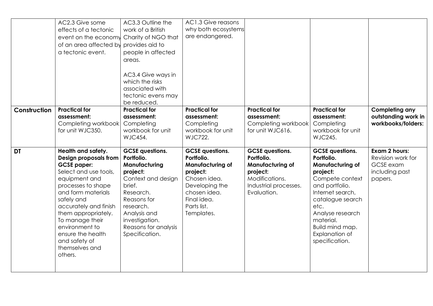|              | AC2.3 Give some<br>effects of a tectonic<br>event on the economy Charity of NGO that<br>of an area affected by<br>a tectonic event.                                                                                                                                                                                           | AC3.3 Outline the<br>work of a British<br>provides aid to<br>people in affected<br>areas.<br>AC3.4 Give ways in<br>which the risks<br>associated with                                                                  | AC1.3 Give reasons<br>why both ecosystems<br>are endangered.                                                                                                              |                                                                                                                                       |                                                                                                                                                                                                                                                          |                                                                              |
|--------------|-------------------------------------------------------------------------------------------------------------------------------------------------------------------------------------------------------------------------------------------------------------------------------------------------------------------------------|------------------------------------------------------------------------------------------------------------------------------------------------------------------------------------------------------------------------|---------------------------------------------------------------------------------------------------------------------------------------------------------------------------|---------------------------------------------------------------------------------------------------------------------------------------|----------------------------------------------------------------------------------------------------------------------------------------------------------------------------------------------------------------------------------------------------------|------------------------------------------------------------------------------|
|              |                                                                                                                                                                                                                                                                                                                               | tectonic evens may<br>be reduced.                                                                                                                                                                                      |                                                                                                                                                                           |                                                                                                                                       |                                                                                                                                                                                                                                                          |                                                                              |
| Construction | <b>Practical for</b><br>assessment:<br>Completing workbook<br>for unit WJC350.                                                                                                                                                                                                                                                | <b>Practical for</b><br>assessment:<br>Completing<br>workbook for unit<br><b>WJC454.</b>                                                                                                                               | <b>Practical for</b><br>assessment:<br>Completing<br>workbook for unit<br><b>WJC722.</b>                                                                                  | <b>Practical for</b><br>assessment:<br>Completing workbook<br>for unit WJC616.                                                        | <b>Practical for</b><br>assessment:<br>Completing<br>workbook for unit<br><b>WJC245.</b>                                                                                                                                                                 | <b>Completing any</b><br>outstanding work in<br>workbooks/folders:           |
| <b>DT</b>    | Health and safety.<br>Design proposals from<br><b>GCSE</b> paper:<br>Select and use tools,<br>equipment and<br>processes to shape<br>and form materials<br>safely and<br>accurately and finish<br>them appropriately.<br>To manage their<br>environment to<br>ensure the health<br>and safety of<br>themselves and<br>others. | <b>GCSE</b> questions.<br>Portfolio.<br>Manufacturing<br>project:<br>Context and design<br>brief.<br>Research.<br>Reasons for<br>research.<br>Analysis and<br>investigation.<br>Reasons for analysis<br>Specification. | <b>GCSE</b> questions.<br>Portfolio.<br><b>Manufacturing of</b><br>project:<br>Chosen idea.<br>Developing the<br>chosen idea.<br>Final idea.<br>Parts list.<br>Templates. | <b>GCSE</b> questions.<br>Portfolio.<br><b>Manufacturing of</b><br>project:<br>Modifications.<br>Industrial processes.<br>Evaluation. | <b>GCSE</b> questions.<br>Portfolio.<br><b>Manufacturing of</b><br>project:<br>Compete context<br>and portfolio.<br>Internet search,<br>catalogue search<br>etc.<br>Analyse research<br>material.<br>Build mind map.<br>Explanation of<br>specification. | Exam 2 hours:<br>Revision work for<br>GCSE exam<br>including past<br>papers. |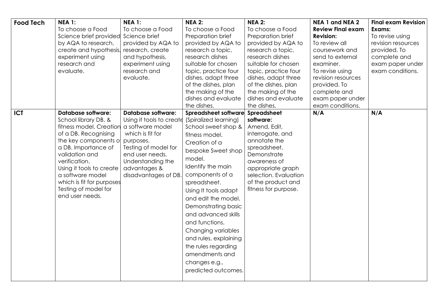| <b>Food Tech</b> | <b>NEA 1:</b>                                | <b>NEA 1:</b>                     | <b>NEA 2:</b>         | <b>NEA 2:</b>                              | NEA 1 and NEA 2          | <b>Final exam Revision</b> |
|------------------|----------------------------------------------|-----------------------------------|-----------------------|--------------------------------------------|--------------------------|----------------------------|
|                  | To choose a Food                             | To choose a Food                  | To choose a Food      | To choose a Food                           | <b>Review Final exam</b> | Exams:                     |
|                  | Science brief provided                       | Science brief                     | Preparation brief     | Preparation brief                          | <b>Revision:</b>         | To revise using            |
|                  | by AQA to research,                          | provided by AQA to                | provided by AQA to    | provided by AQA to                         | To review all            | revision resources         |
|                  | create and hypothesis,                       | research, create                  | research a topic,     | research a topic,                          | coursework and           | provided. To               |
|                  | experiment using                             | and hypothesis,                   | research dishes       | research dishes                            | send to external         | complete and               |
|                  | research and                                 | experiment using                  | suitable for chosen   | suitable for chosen                        | examiner.                | exam paper under           |
|                  | evaluate.                                    | research and                      | topic, practice four  | topic, practice four                       | To revise using          | exam conditions.           |
|                  |                                              | evaluate.                         | dishes, adapt three   | dishes, adapt three                        | revision resources       |                            |
|                  |                                              |                                   | of the dishes, plan   | of the dishes, plan                        | provided. To             |                            |
|                  |                                              |                                   | the making of the     | the making of the                          | complete and             |                            |
|                  |                                              |                                   | dishes and evaluate   | dishes and evaluate                        | exam paper under         |                            |
|                  |                                              |                                   | the dishes.           | the dishes.                                | exam conditions.         |                            |
| <b>ICT</b>       | <b>Database software:</b>                    | <b>Database software:</b>         | Spreadsheet software  | Spreadsheet                                | N/A                      | N/A                        |
|                  | School library DB, &                         | Using it tools to create          | (Spiralized learning) | software:                                  |                          |                            |
|                  | fitness model. Creation                      | a software model                  | School sweet shop &   | Amend, Edit,                               |                          |                            |
|                  | of a DB. Recognising                         | which is fit for                  | fitness model.        | interrogate, and                           |                          |                            |
|                  | the key components of                        | purposes.                         | Creation of a         | annotate the                               |                          |                            |
|                  | a DB. Importance of                          | Testing of model for              | bespoke Sweet shop    | spreadsheet.                               |                          |                            |
|                  | validation and<br>verification.              | end user needs.                   | model.                | Demonstrate                                |                          |                            |
|                  |                                              | Understanding the<br>advantages & | Identify the main     | awareness of                               |                          |                            |
|                  | Using it tools to create<br>a software model | disadvantages of DB.              | components of a       | appropriate graph<br>selection. Evaluation |                          |                            |
|                  | which is fit for purposes                    |                                   | spreadsheet.          | of the product and                         |                          |                            |
|                  | Testing of model for                         |                                   |                       | fitness for purpose.                       |                          |                            |
|                  | end user needs.                              |                                   | Using It tools adapt  |                                            |                          |                            |
|                  |                                              |                                   | and edit the model.   |                                            |                          |                            |
|                  |                                              |                                   | Demonstrating basic   |                                            |                          |                            |
|                  |                                              |                                   | and advanced skills   |                                            |                          |                            |
|                  |                                              |                                   | and functions.        |                                            |                          |                            |
|                  |                                              |                                   | Changing variables    |                                            |                          |                            |
|                  |                                              |                                   | and rules, explaining |                                            |                          |                            |
|                  |                                              |                                   | the rules regarding   |                                            |                          |                            |
|                  |                                              |                                   | amendments and        |                                            |                          |                            |
|                  |                                              |                                   |                       |                                            |                          |                            |
|                  |                                              |                                   | changes e.g.,         |                                            |                          |                            |
|                  |                                              |                                   | predicted outcomes.   |                                            |                          |                            |
|                  |                                              |                                   |                       |                                            |                          |                            |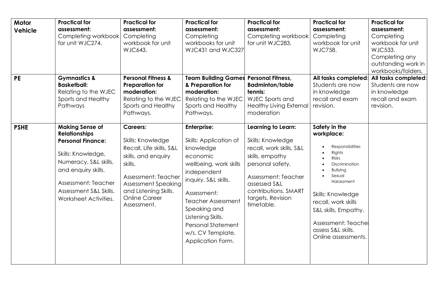| Motor<br><b>Vehicle</b>  | <b>Practical for</b><br>assessment:<br>Completing workbook<br>for unit WJC274.                                                                                                                   | <b>Practical for</b><br>assessment:<br>Completing<br>workbook for unit<br><b>WJC643.</b>                                                                                                             | <b>Practical for</b><br>assessment:<br>Completing<br>workbooks for unit<br>WJC431 and WJC327                                                                                                                                                                             | <b>Practical for</b><br>assessment:<br>Completing workbook<br>for unit WJC283.                                                                                                         | <b>Practical for</b><br>assessment:<br>Completing<br>workbook for unit<br><b>WJC758.</b>                                                                                                                                                                     | <b>Practical for</b><br>assessment:<br>Completing<br>workbook for unit<br><b>WJC533.</b><br>Completing any<br>outstanding work in<br>workbooks/folders. |
|--------------------------|--------------------------------------------------------------------------------------------------------------------------------------------------------------------------------------------------|------------------------------------------------------------------------------------------------------------------------------------------------------------------------------------------------------|--------------------------------------------------------------------------------------------------------------------------------------------------------------------------------------------------------------------------------------------------------------------------|----------------------------------------------------------------------------------------------------------------------------------------------------------------------------------------|--------------------------------------------------------------------------------------------------------------------------------------------------------------------------------------------------------------------------------------------------------------|---------------------------------------------------------------------------------------------------------------------------------------------------------|
| <b>PE</b><br><b>PSHE</b> | <b>Gymnastics &amp;</b><br><b>Basketball:</b><br>Relating to the WJEC<br>Sports and Healthy<br>Pathways<br><b>Making Sense of</b>                                                                | <b>Personal Fitness &amp;</b><br><b>Preparation for</b><br>moderation:<br>Relating to the WJEC<br>Sports and Healthy<br>Pathways.<br><b>Careers:</b>                                                 | <b>Team Building Games</b><br>& Preparation for<br>moderation:<br>Relating to the WJEC<br>Sports and Healthy<br>Pathways.<br><b>Enterprise:</b>                                                                                                                          | <b>Personal Fitness,</b><br><b>Badminton/table</b><br>tennis:<br>WJEC Sports and<br><b>Healthy Living External</b><br>moderation<br>Learning to Learn:                                 | All tasks completed:<br>Students are now<br>in knowledge<br>recall and exam<br>revision.<br>Safety in the                                                                                                                                                    | All tasks completed:<br>Students are now<br>in knowledge<br>recall and exam<br>revision.                                                                |
|                          | <b>Relationships</b><br><b>Personal Finance:</b><br>Skills: Knowledge,<br>Numeracy, S&L skills,<br>and enquiry skills.<br>Assessment: Teacher<br>Assessment S&L Skills.<br>Worksheet Activities. | Skills: Knowledge<br>Recall, Life skills, S&L<br>skills, and enquiry<br>skills.<br>Assessment: Teacher<br><b>Assessment Speaking</b><br>and Listening Skills.<br><b>Online Career</b><br>Assessment. | Skills: Application of<br>knowledge<br>economic<br>wellbeing, work skills<br>independent<br>inquiry. S&L skills.<br>Assessment:<br><b>Teacher Assessment</b><br>Speaking and<br>Listening Skills.<br><b>Personal Statement</b><br>w/s. CV Template.<br>Application Form. | Skills: Knowledge<br>recall, work skills, S&L<br>skills, empathy<br>personal safety.<br>Assessment: Teacher<br>assessed S&L<br>contributions. SMART<br>targets. Revision<br>timetable. | workplace:<br>Responsibilities<br>Rights<br><b>Risks</b><br>Discrimination<br><b>Bullying</b><br>Sexual<br>Harassment<br>Skills: Knowledge<br>recall, work skills<br>S&L skills, Empathy.<br>Assessment: Teache<br>assess S&L skills.<br>Online assessments. |                                                                                                                                                         |